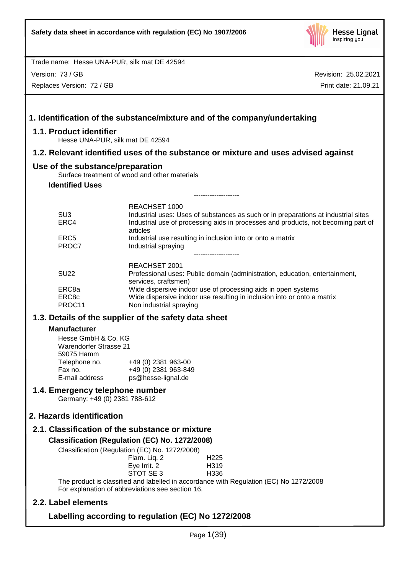

Version: 73 / GB

Replaces Version: 72 / GB

|                                                                                                                                         | 1. Identification of the substance/mixture and of the company/undertaking                                                                                                                                                                                                                                                                                                          |
|-----------------------------------------------------------------------------------------------------------------------------------------|------------------------------------------------------------------------------------------------------------------------------------------------------------------------------------------------------------------------------------------------------------------------------------------------------------------------------------------------------------------------------------|
| 1.1. Product identifier                                                                                                                 | Hesse UNA-PUR, silk mat DE 42594                                                                                                                                                                                                                                                                                                                                                   |
|                                                                                                                                         | 1.2. Relevant identified uses of the substance or mixture and uses advised against                                                                                                                                                                                                                                                                                                 |
| Use of the substance/preparation<br><b>Identified Uses</b>                                                                              | Surface treatment of wood and other materials                                                                                                                                                                                                                                                                                                                                      |
| SU <sub>3</sub><br>ERC4<br>ERC <sub>5</sub><br>PROC7                                                                                    | REACHSET 1000<br>Industrial uses: Uses of substances as such or in preparations at industrial sites<br>Industrial use of processing aids in processes and products, not becoming part of<br>articles<br>Industrial use resulting in inclusion into or onto a matrix<br>Industrial spraying                                                                                         |
| <b>SU22</b><br>ERC8a<br>ERC8c<br>PROC11                                                                                                 | REACHSET 2001<br>Professional uses: Public domain (administration, education, entertainment,<br>services, craftsmen)<br>Wide dispersive indoor use of processing aids in open systems<br>Wide dispersive indoor use resulting in inclusion into or onto a matrix<br>Non industrial spraying                                                                                        |
| <b>Manufacturer</b><br>Hesse GmbH & Co. KG<br><b>Warendorfer Strasse 21</b><br>59075 Hamm<br>Telephone no.<br>Fax no.<br>E-mail address | 1.3. Details of the supplier of the safety data sheet<br>+49 (0) 2381 963-00<br>+49 (0) 2381 963-849<br>ps@hesse-lignal.de                                                                                                                                                                                                                                                         |
| 1.4. Emergency telephone number<br>Germany: +49 (0) 2381 788-612                                                                        |                                                                                                                                                                                                                                                                                                                                                                                    |
| 2. Hazards identification                                                                                                               |                                                                                                                                                                                                                                                                                                                                                                                    |
|                                                                                                                                         | 2.1. Classification of the substance or mixture<br>Classification (Regulation (EC) No. 1272/2008)<br>Classification (Regulation (EC) No. 1272/2008)<br>Flam. Liq. 2<br>H <sub>225</sub><br>Eye Irrit. 2<br>H319<br>STOT SE 3<br>H336<br>The product is classified and labelled in accordance with Regulation (EC) No 1272/2008<br>For explanation of abbreviations see section 16. |
| 2.2. Label elements                                                                                                                     |                                                                                                                                                                                                                                                                                                                                                                                    |
|                                                                                                                                         | Labelling according to regulation (EC) No 1272/2008                                                                                                                                                                                                                                                                                                                                |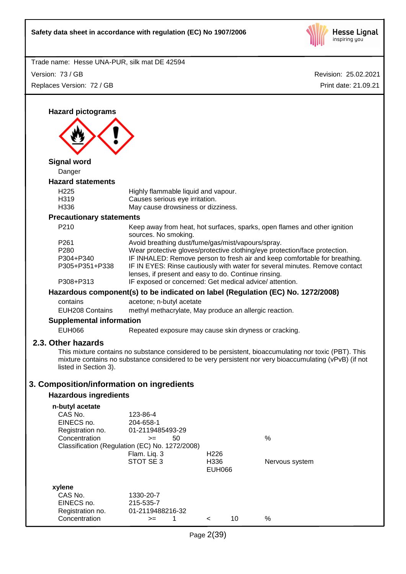

Revision: 25.02.2021 Trade name: Hesse UNA-PUR, silk mat DE 42594 Print date: 21.09.21 Version: 73 / GB Replaces Version: 72 / GB **Hazard pictograms Signal word** Danger **Hazard statements** H225 Highly flammable liquid and vapour. H319 Causes serious eye irritation. H336 May cause drowsiness or dizziness. **Precautionary statements** P210 Keep away from heat, hot surfaces, sparks, open flames and other ignition sources. No smoking. P261 Avoid breathing dust/fume/gas/mist/vapours/spray. P280 Wear protective gloves/protective clothing/eye protection/face protection. P304+P340 IF INHALED: Remove person to fresh air and keep comfortable for breathing. P305+P351+P338 IF IN EYES: Rinse cautiously with water for several minutes. Remove contact lenses, if present and easy to do. Continue rinsing. P308+P313 IF exposed or concerned: Get medical advice/ attention. **Hazardous component(s) to be indicated on label (Regulation (EC) No. 1272/2008)** contains acetone; n-butyl acetate EUH208 Contains methyl methacrylate, May produce an allergic reaction. **Supplemental information** EUH066 Repeated exposure may cause skin dryness or cracking. **2.3. Other hazards** This mixture contains no substance considered to be persistent, bioaccumulating nor toxic (PBT). This mixture contains no substance considered to be very persistent nor very bioaccumulating (vPvB) (if not listed in Section 3). **3. Composition/information on ingredients Hazardous ingredients n-butyl acetate** CAS No. 123-86-4 EINECS no. 204-658-1 Registration no. 01-2119485493-29 Concentration  $\geq$  50 % Classification (Regulation (EC) No. 1272/2008) Flam. Liq. 3 H226 STOT SE 3 H336 Nervous system EUH066 **xylene** CAS No. 1330-20-7 EINECS no. 215-535-7 Registration no. 01-2119488216-32 Concentration  $\rightarrow$  1 < 10 %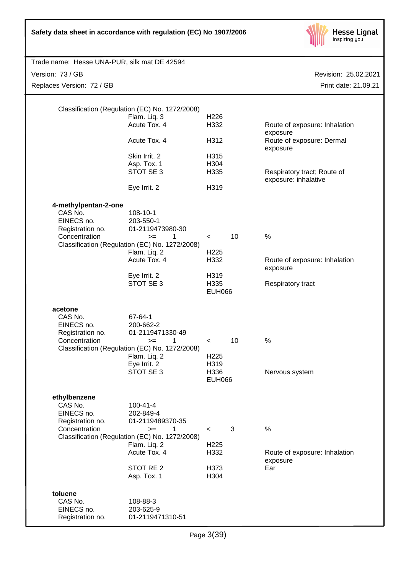| Safety data sheet in accordance with regulation (EC) No 1907/2006 |  |  |  |  |  |  |  |
|-------------------------------------------------------------------|--|--|--|--|--|--|--|
|-------------------------------------------------------------------|--|--|--|--|--|--|--|



| Trade name: Hesse UNA-PUR, silk mat DE 42594                                       |                                                                                                                                                                           |                                                                      |    |                                                                                                                                           |
|------------------------------------------------------------------------------------|---------------------------------------------------------------------------------------------------------------------------------------------------------------------------|----------------------------------------------------------------------|----|-------------------------------------------------------------------------------------------------------------------------------------------|
| Version: 73 / GB                                                                   |                                                                                                                                                                           |                                                                      |    | Revision: 25.02.2021                                                                                                                      |
| Replaces Version: 72 / GB                                                          |                                                                                                                                                                           |                                                                      |    | Print date: 21.09.21                                                                                                                      |
|                                                                                    | Classification (Regulation (EC) No. 1272/2008)<br>Flam. Liq. 3<br>Acute Tox. 4<br>Acute Tox. 4<br>Skin Irrit. 2<br>Asp. Tox. 1<br>STOT SE 3<br>Eye Irrit. 2               | H <sub>226</sub><br>H332<br>H312<br>H315<br>H304<br>H335<br>H319     |    | Route of exposure: Inhalation<br>exposure<br>Route of exposure: Dermal<br>exposure<br>Respiratory tract; Route of<br>exposure: inhalative |
| 4-methylpentan-2-one<br>CAS No.<br>EINECS no.<br>Registration no.<br>Concentration | 108-10-1<br>203-550-1<br>01-2119473980-30<br>1<br>$>=$<br>Classification (Regulation (EC) No. 1272/2008)<br>Flam. Liq. 2<br>Acute Tox. 4<br>Eye Irrit. 2<br>STOT SE 3     | $\prec$<br>H <sub>225</sub><br>H332<br>H319<br>H335<br><b>EUH066</b> | 10 | $\%$<br>Route of exposure: Inhalation<br>exposure<br>Respiratory tract                                                                    |
| acetone<br>CAS No.<br>EINECS no.<br>Registration no.<br>Concentration              | 67-64-1<br>200-662-2<br>01-2119471330-49<br>1<br>$>=$<br>Classification (Regulation (EC) No. 1272/2008)<br>Flam. Liq. 2<br>Eye Irrit. 2<br>STOT SE 3                      | $\,<\,$<br>H <sub>225</sub><br>H319<br>H336<br><b>EUH066</b>         | 10 | $\%$<br>Nervous system                                                                                                                    |
| ethylbenzene<br>CAS No.<br>EINECS no.<br>Registration no.<br>Concentration         | $100 - 41 - 4$<br>202-849-4<br>01-2119489370-35<br>1<br>$=$<br>Classification (Regulation (EC) No. 1272/2008)<br>Flam. Liq. 2<br>Acute Tox. 4<br>STOT RE 2<br>Asp. Tox. 1 | $\prec$<br>H <sub>225</sub><br>H332<br>H373<br>H304                  | 3  | $\%$<br>Route of exposure: Inhalation<br>exposure<br>Ear                                                                                  |
| toluene<br>CAS No.<br>EINECS no.<br>Registration no.                               | 108-88-3<br>203-625-9<br>01-2119471310-51                                                                                                                                 |                                                                      |    |                                                                                                                                           |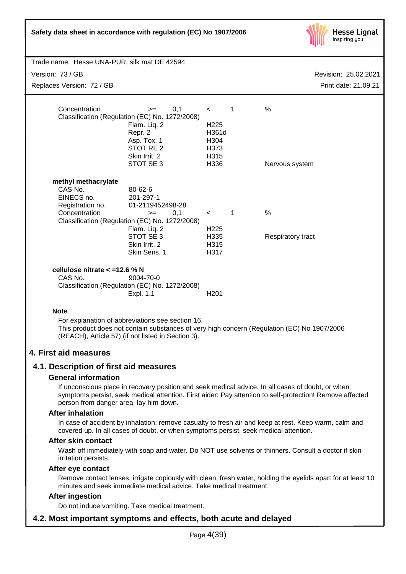| Safety data sheet in accordance with regulation (EC) No 1907/2006                                                                                                                                                                                           |                                                                                      | <b>Hesse Lignal</b><br>inspiring you |
|-------------------------------------------------------------------------------------------------------------------------------------------------------------------------------------------------------------------------------------------------------------|--------------------------------------------------------------------------------------|--------------------------------------|
| Trade name: Hesse UNA-PUR, silk mat DE 42594                                                                                                                                                                                                                |                                                                                      |                                      |
| Version: 73 / GB                                                                                                                                                                                                                                            |                                                                                      | Revision: 25.02.2021                 |
| Replaces Version: 72 / GB                                                                                                                                                                                                                                   |                                                                                      | Print date: 21.09.21                 |
| Concentration<br>0,1<br>$>=$<br>Classification (Regulation (EC) No. 1272/2008)<br>Flam. Liq. 2<br>Repr. 2<br>Asp. Tox. 1<br>STOT RE 2<br>Skin Irrit. 2<br>STOT SE 3                                                                                         | $\mathbf{1}$<br>$\prec$<br>H <sub>225</sub><br>H361d<br>H304<br>H373<br>H315<br>H336 | $\%$<br>Nervous system               |
| methyl methacrylate<br>CAS No.<br>80-62-6<br>EINECS no.<br>201-297-1<br>Registration no.<br>01-2119452498-28<br>Concentration<br>0,1<br>$=$<br>Classification (Regulation (EC) No. 1272/2008)<br>Flam. Liq. 2<br>STOT SE 3<br>Skin Irrit. 2<br>Skin Sens. 1 | $\overline{1}$<br>$\lt$ and $\lt$<br>H <sub>225</sub><br>H335<br>H315<br>H317        | $\frac{0}{0}$<br>Respiratory tract   |
| cellulose nitrate < = 12.6 % N<br>CAS No.<br>9004-70-0<br>Classification (Regulation (EC) No. 1272/2008)<br>Expl. 1.1                                                                                                                                       | H <sub>201</sub>                                                                     |                                      |
| <b>Note</b><br>For explanation of abbreviations see section 16.<br>This product does not contain substances of very high concern (Regulation (EC) No 1907/2006<br>(REACH), Article 57) (if not listed in Section 3).                                        |                                                                                      |                                      |

## **4. First aid measures**

## **4.1. Description of first aid measures**

#### **General information**

If unconscious place in recovery position and seek medical advice. In all cases of doubt, or when symptoms persist, seek medical attention. First aider: Pay attention to self-protection! Remove affected person from danger area, lay him down.

#### **After inhalation**

In case of accident by inhalation: remove casualty to fresh air and keep at rest. Keep warm, calm and covered up. In all cases of doubt, or when symptoms persist, seek medical attention.

#### **After skin contact**

Wash off immediately with soap and water. Do NOT use solvents or thinners. Consult a doctor if skin irritation persists.

#### **After eye contact**

Remove contact lenses, irrigate copiously with clean, fresh water, holding the eyelids apart for at least 10 minutes and seek immediate medical advice. Take medical treatment.

## **After ingestion**

Do not induce vomiting. Take medical treatment.

## **4.2. Most important symptoms and effects, both acute and delayed**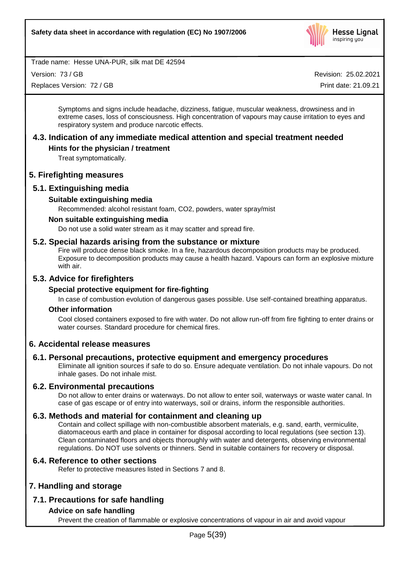

Version: 73 / GB

Replaces Version: 72 / GB

Revision: 25.02.2021

Print date: 21.09.21

Symptoms and signs include headache, dizziness, fatigue, muscular weakness, drowsiness and in extreme cases, loss of consciousness. High concentration of vapours may cause irritation to eyes and respiratory system and produce narcotic effects.

## **4.3. Indication of any immediate medical attention and special treatment needed**

## **Hints for the physician / treatment**

Treat symptomatically.

## **5. Firefighting measures**

## **5.1. Extinguishing media**

## **Suitable extinguishing media**

Recommended: alcohol resistant foam, CO2, powders, water spray/mist

## **Non suitable extinguishing media**

Do not use a solid water stream as it may scatter and spread fire.

## **5.2. Special hazards arising from the substance or mixture**

Fire will produce dense black smoke. In a fire, hazardous decomposition products may be produced. Exposure to decomposition products may cause a health hazard. Vapours can form an explosive mixture with air.

## **5.3. Advice for firefighters**

## **Special protective equipment for fire-fighting**

In case of combustion evolution of dangerous gases possible. Use self-contained breathing apparatus.

#### **Other information**

Cool closed containers exposed to fire with water. Do not allow run-off from fire fighting to enter drains or water courses. Standard procedure for chemical fires.

## **6. Accidental release measures**

## **6.1. Personal precautions, protective equipment and emergency procedures**

Eliminate all ignition sources if safe to do so. Ensure adequate ventilation. Do not inhale vapours. Do not inhale gases. Do not inhale mist.

## **6.2. Environmental precautions**

Do not allow to enter drains or waterways. Do not allow to enter soil, waterways or waste water canal. In case of gas escape or of entry into waterways, soil or drains, inform the responsible authorities.

## **6.3. Methods and material for containment and cleaning up**

Contain and collect spillage with non-combustible absorbent materials, e.g. sand, earth, vermiculite, diatomaceous earth and place in container for disposal according to local regulations (see section 13). Clean contaminated floors and objects thoroughly with water and detergents, observing environmental regulations. Do NOT use solvents or thinners. Send in suitable containers for recovery or disposal.

## **6.4. Reference to other sections**

Refer to protective measures listed in Sections 7 and 8.

## **7. Handling and storage**

## **7.1. Precautions for safe handling**

## **Advice on safe handling**

Prevent the creation of flammable or explosive concentrations of vapour in air and avoid vapour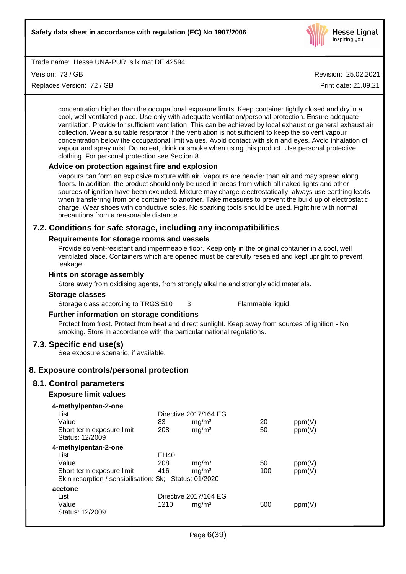

Version: 73 / GB

Replaces Version: 72 / GB

Revision: 25.02.2021

Print date: 21.09.21

concentration higher than the occupational exposure limits. Keep container tightly closed and dry in a cool, well-ventilated place. Use only with adequate ventilation/personal protection. Ensure adequate ventilation. Provide for sufficient ventilation. This can be achieved by local exhaust or general exhaust air collection. Wear a suitable respirator if the ventilation is not sufficient to keep the solvent vapour concentration below the occupational limit values. Avoid contact with skin and eyes. Avoid inhalation of vapour and spray mist. Do no eat, drink or smoke when using this product. Use personal protective clothing. For personal protection see Section 8.

## **Advice on protection against fire and explosion**

Vapours can form an explosive mixture with air. Vapours are heavier than air and may spread along floors. In addition, the product should only be used in areas from which all naked lights and other sources of ignition have been excluded. Mixture may charge electrostatically: always use earthing leads when transferring from one container to another. Take measures to prevent the build up of electrostatic charge. Wear shoes with conductive soles. No sparking tools should be used. Fight fire with normal precautions from a reasonable distance.

## **7.2. Conditions for safe storage, including any incompatibilities**

## **Requirements for storage rooms and vessels**

Provide solvent-resistant and impermeable floor. Keep only in the original container in a cool, well ventilated place. Containers which are opened must be carefully resealed and kept upright to prevent leakage.

## **Hints on storage assembly**

Store away from oxidising agents, from strongly alkaline and strongly acid materials.

#### **Storage classes**

Storage class according to TRGS 510 3 Flammable liquid

## **Further information on storage conditions**

Protect from frost. Protect from heat and direct sunlight. Keep away from sources of ignition - No smoking. Store in accordance with the particular national regulations.

## **7.3. Specific end use(s)**

See exposure scenario, if available.

## **8. Exposure controls/personal protection**

## **8.1. Control parameters**

## **Exposure limit values**

| 83   | mg/m <sup>3</sup> | 20                                                                                                       | ppm(V) |
|------|-------------------|----------------------------------------------------------------------------------------------------------|--------|
| 208  | mg/m <sup>3</sup> | 50                                                                                                       | ppm(V) |
|      |                   |                                                                                                          |        |
|      |                   |                                                                                                          |        |
| EH40 |                   |                                                                                                          |        |
| 208  | mg/m <sup>3</sup> | 50                                                                                                       | ppm(V) |
| 416  | mg/m <sup>3</sup> | 100                                                                                                      | ppm(V) |
|      |                   |                                                                                                          |        |
|      |                   |                                                                                                          |        |
|      |                   |                                                                                                          |        |
| 1210 | mq/m <sup>3</sup> | 500                                                                                                      | ppm(V) |
|      |                   |                                                                                                          |        |
|      |                   | Directive 2017/164 EG<br>Skin resorption / sensibilisation: Sk; Status: 01/2020<br>Directive 2017/164 EG |        |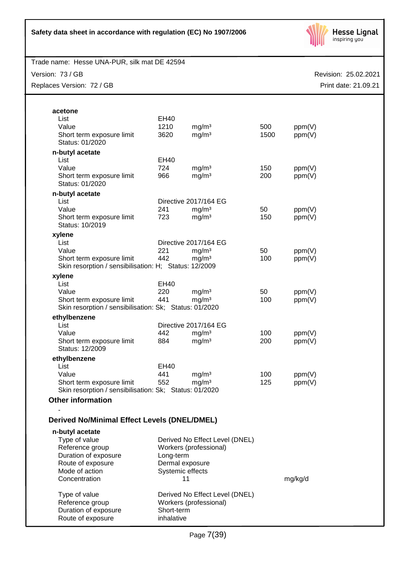

Version: 73 / GB

Replaces Version: 72 / GB

| acetone                                                |             |                                |      |         |
|--------------------------------------------------------|-------------|--------------------------------|------|---------|
| List                                                   | EH40        |                                |      |         |
| Value                                                  | 1210        | mg/m <sup>3</sup>              | 500  | ppm(V)  |
| Short term exposure limit                              | 3620        | mg/m <sup>3</sup>              | 1500 | ppm(V)  |
| Status: 01/2020                                        |             |                                |      |         |
|                                                        |             |                                |      |         |
| n-butyl acetate<br>List                                | EH40        |                                |      |         |
| Value                                                  | 724         | mg/m <sup>3</sup>              | 150  | ppm(V)  |
| Short term exposure limit                              | 966         | mg/m <sup>3</sup>              | 200  | ppm(V)  |
| Status: 01/2020                                        |             |                                |      |         |
| n-butyl acetate                                        |             |                                |      |         |
| List                                                   |             | Directive 2017/164 EG          |      |         |
| Value                                                  | 241         | mg/m <sup>3</sup>              | 50   | ppm(V)  |
| Short term exposure limit                              | 723         | mg/m <sup>3</sup>              | 150  | ppm(V)  |
| Status: 10/2019                                        |             |                                |      |         |
| xylene                                                 |             |                                |      |         |
| List                                                   |             | Directive 2017/164 EG          |      |         |
| Value                                                  | 221         | mg/m <sup>3</sup>              | 50   | ppm(V)  |
| Short term exposure limit                              | 442         | mg/m <sup>3</sup>              | 100  | ppm(V)  |
| Skin resorption / sensibilisation: H; Status: 12/2009  |             |                                |      |         |
| xylene                                                 |             |                                |      |         |
| List                                                   | EH40        |                                |      |         |
| Value                                                  | 220         | mg/m <sup>3</sup>              | 50   | ppm(V)  |
| Short term exposure limit                              | 441         | mg/m <sup>3</sup>              | 100  | ppm(V)  |
| Skin resorption / sensibilisation: Sk; Status: 01/2020 |             |                                |      |         |
| ethylbenzene                                           |             |                                |      |         |
| List                                                   |             | Directive 2017/164 EG          |      |         |
| Value                                                  | 442         | mg/m <sup>3</sup>              | 100  | ppm(V)  |
| Short term exposure limit                              | 884         | mg/m <sup>3</sup>              | 200  | ppm(V)  |
| Status: 12/2009                                        |             |                                |      |         |
| ethylbenzene                                           |             |                                |      |         |
| List                                                   | <b>EH40</b> |                                |      |         |
| Value                                                  | 441         | mg/m <sup>3</sup>              | 100  | ppm(V)  |
| Short term exposure limit                              | 552         | mg/m <sup>3</sup>              | 125  | ppm(V)  |
| Skin resorption / sensibilisation: Sk; Status: 01/2020 |             |                                |      |         |
| <b>Other information</b>                               |             |                                |      |         |
|                                                        |             |                                |      |         |
| <b>Derived No/Minimal Effect Levels (DNEL/DMEL)</b>    |             |                                |      |         |
| n-butyl acetate                                        |             |                                |      |         |
| Type of value                                          |             | Derived No Effect Level (DNEL) |      |         |
| Reference group                                        |             | Workers (professional)         |      |         |
| Duration of exposure                                   | Long-term   |                                |      |         |
| Route of exposure                                      |             | Dermal exposure                |      |         |
| Mode of action                                         |             | Systemic effects               |      |         |
| Concentration                                          |             | 11                             |      | mg/kg/d |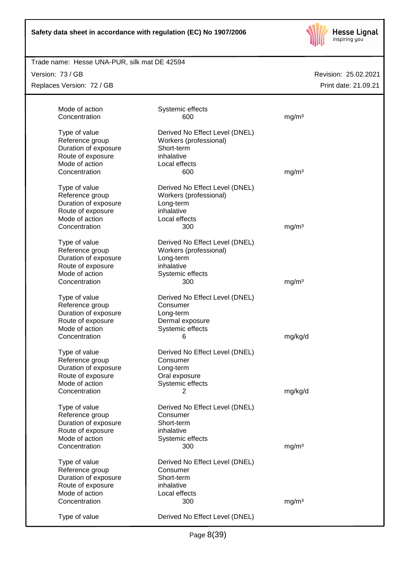

## Trade name: Hesse UNA-PUR, silk mat DE 42594

Version: 73 / GB

Replaces Version: 72 / GB

| Mode of action       | Systemic effects               |                   |
|----------------------|--------------------------------|-------------------|
| Concentration        | 600                            | mg/m <sup>3</sup> |
| Type of value        | Derived No Effect Level (DNEL) |                   |
| Reference group      | Workers (professional)         |                   |
| Duration of exposure | Short-term                     |                   |
| Route of exposure    | inhalative                     |                   |
| Mode of action       | Local effects                  |                   |
| Concentration        | 600                            | mg/m <sup>3</sup> |
|                      |                                |                   |
| Type of value        | Derived No Effect Level (DNEL) |                   |
| Reference group      | Workers (professional)         |                   |
| Duration of exposure | Long-term                      |                   |
| Route of exposure    | inhalative                     |                   |
| Mode of action       | Local effects                  |                   |
| Concentration        | 300                            | mg/m <sup>3</sup> |
|                      |                                |                   |
| Type of value        | Derived No Effect Level (DNEL) |                   |
| Reference group      | Workers (professional)         |                   |
| Duration of exposure | Long-term                      |                   |
| Route of exposure    | inhalative                     |                   |
| Mode of action       | Systemic effects               |                   |
| Concentration        | 300                            | mg/m <sup>3</sup> |
| Type of value        | Derived No Effect Level (DNEL) |                   |
| Reference group      | Consumer                       |                   |
| Duration of exposure | Long-term                      |                   |
| Route of exposure    | Dermal exposure                |                   |
| Mode of action       | Systemic effects               |                   |
| Concentration        | 6                              | mg/kg/d           |
|                      |                                |                   |
| Type of value        | Derived No Effect Level (DNEL) |                   |
| Reference group      | Consumer                       |                   |
| Duration of exposure | Long-term                      |                   |
| Route of exposure    | Oral exposure                  |                   |
| Mode of action       | Systemic effects               |                   |
| Concentration        | 2                              | mg/kg/d           |
| Type of value        | Derived No Effect Level (DNEL) |                   |
| Reference group      | Consumer                       |                   |
| Duration of exposure | Short-term                     |                   |
| Route of exposure    | inhalative                     |                   |
| Mode of action       | Systemic effects               |                   |
| Concentration        | 300                            | mg/m <sup>3</sup> |
| Type of value        | Derived No Effect Level (DNEL) |                   |
| Reference group      | Consumer                       |                   |
| Duration of exposure | Short-term                     |                   |
| Route of exposure    | inhalative                     |                   |
| Mode of action       | Local effects                  |                   |
| Concentration        | 300                            | mg/m <sup>3</sup> |
|                      |                                |                   |
| Type of value        | Derived No Effect Level (DNEL) |                   |
|                      |                                |                   |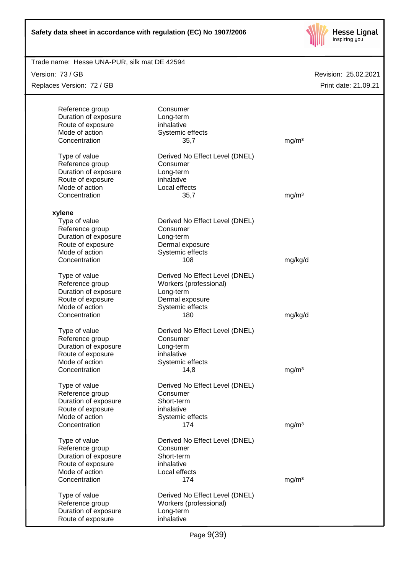

| Trade name: Hesse UNA-PUR, silk mat DE 42594 |                                |                      |
|----------------------------------------------|--------------------------------|----------------------|
| Version: 73 / GB                             |                                | Revision: 25.02.2021 |
| Replaces Version: 72 / GB                    |                                | Print date: 21.09.21 |
|                                              |                                |                      |
| Reference group                              | Consumer                       |                      |
| Duration of exposure                         | Long-term                      |                      |
| Route of exposure                            | inhalative                     |                      |
| Mode of action                               | Systemic effects               |                      |
| Concentration                                | 35,7                           | mg/m <sup>3</sup>    |
| Type of value                                | Derived No Effect Level (DNEL) |                      |
| Reference group                              | Consumer                       |                      |
| Duration of exposure                         | Long-term                      |                      |
| Route of exposure                            | inhalative                     |                      |
| Mode of action                               | Local effects                  |                      |
| Concentration                                | 35,7                           | mg/m <sup>3</sup>    |
| xylene                                       |                                |                      |
| Type of value                                | Derived No Effect Level (DNEL) |                      |
| Reference group                              | Consumer                       |                      |
| Duration of exposure                         | Long-term                      |                      |
| Route of exposure                            | Dermal exposure                |                      |
| Mode of action                               | Systemic effects               |                      |
| Concentration                                | 108                            | mg/kg/d              |
| Type of value                                | Derived No Effect Level (DNEL) |                      |
| Reference group                              | Workers (professional)         |                      |
| Duration of exposure                         | Long-term                      |                      |
| Route of exposure                            | Dermal exposure                |                      |
| Mode of action                               | Systemic effects               |                      |
| Concentration                                | 180                            | mg/kg/d              |
| Type of value                                | Derived No Effect Level (DNEL) |                      |
| Reference group                              | Consumer                       |                      |
| Duration of exposure                         | Long-term                      |                      |
| Route of exposure                            | inhalative                     |                      |
| Mode of action                               | Systemic effects               |                      |
| Concentration                                | 14,8                           | mg/m <sup>3</sup>    |
| Type of value                                | Derived No Effect Level (DNEL) |                      |
| Reference group                              | Consumer                       |                      |
| Duration of exposure                         | Short-term                     |                      |
| Route of exposure                            | inhalative                     |                      |
| Mode of action                               | Systemic effects               |                      |
| Concentration                                | 174                            | mg/m <sup>3</sup>    |
| Type of value                                | Derived No Effect Level (DNEL) |                      |
| Reference group                              | Consumer                       |                      |
| Duration of exposure                         | Short-term                     |                      |
| Route of exposure                            | inhalative                     |                      |
| Mode of action                               | Local effects                  |                      |
| Concentration                                | 174                            | mg/m <sup>3</sup>    |
| Type of value                                | Derived No Effect Level (DNEL) |                      |
| Reference group                              | Workers (professional)         |                      |
| Duration of exposure                         | Long-term                      |                      |
| Route of exposure                            | inhalative                     |                      |
|                                              |                                |                      |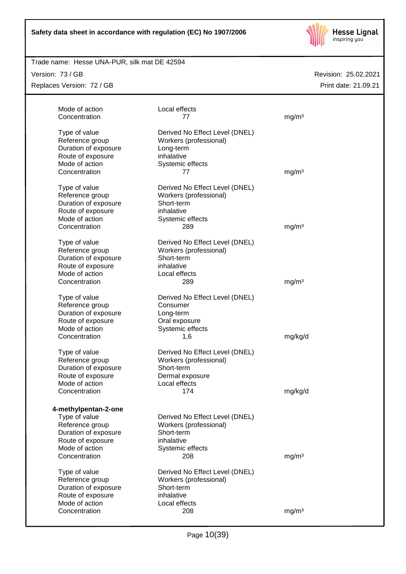

## Trade name: Hesse UNA-PUR, silk mat DE 42594

Version: 73 / GB

Replaces Version: 72 / GB

| Mode of action                      | Local effects                  |                   |
|-------------------------------------|--------------------------------|-------------------|
| Concentration                       | 77                             | mg/m <sup>3</sup> |
| Type of value                       | Derived No Effect Level (DNEL) |                   |
| Reference group                     | Workers (professional)         |                   |
| Duration of exposure                | Long-term                      |                   |
| Route of exposure<br>Mode of action | inhalative<br>Systemic effects |                   |
| Concentration                       | 77                             | mg/m <sup>3</sup> |
|                                     |                                |                   |
| Type of value                       | Derived No Effect Level (DNEL) |                   |
| Reference group                     | Workers (professional)         |                   |
| Duration of exposure                | Short-term                     |                   |
| Route of exposure                   | inhalative                     |                   |
| Mode of action                      | Systemic effects               |                   |
| Concentration                       | 289                            | mg/m <sup>3</sup> |
| Type of value                       | Derived No Effect Level (DNEL) |                   |
| Reference group                     | Workers (professional)         |                   |
| Duration of exposure                | Short-term                     |                   |
| Route of exposure                   | inhalative                     |                   |
| Mode of action                      | Local effects                  |                   |
| Concentration                       | 289                            | mg/m <sup>3</sup> |
| Type of value                       | Derived No Effect Level (DNEL) |                   |
| Reference group                     | Consumer                       |                   |
| Duration of exposure                | Long-term                      |                   |
| Route of exposure                   | Oral exposure                  |                   |
| Mode of action                      | Systemic effects               |                   |
| Concentration                       | 1,6                            | mg/kg/d           |
| Type of value                       | Derived No Effect Level (DNEL) |                   |
| Reference group                     | Workers (professional)         |                   |
| Duration of exposure                | Short-term                     |                   |
| Route of exposure                   | Dermal exposure                |                   |
| Mode of action                      | Local effects                  |                   |
| Concentration                       | 174                            | mg/kg/d           |
| 4-methylpentan-2-one                |                                |                   |
| Type of value                       | Derived No Effect Level (DNEL) |                   |
| Reference group                     | Workers (professional)         |                   |
| Duration of exposure                | Short-term                     |                   |
| Route of exposure                   | inhalative                     |                   |
| Mode of action                      | Systemic effects               |                   |
| Concentration                       | 208                            | mg/m <sup>3</sup> |
| Type of value                       | Derived No Effect Level (DNEL) |                   |
| Reference group                     | Workers (professional)         |                   |
| Duration of exposure                | Short-term                     |                   |
| Route of exposure                   | inhalative                     |                   |
| Mode of action                      | Local effects                  |                   |
| Concentration                       | 208                            | mg/m <sup>3</sup> |
|                                     |                                |                   |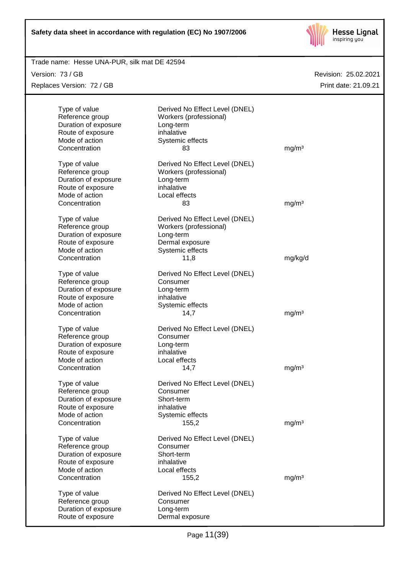

## Revision: 25.02.2021 Trade name: Hesse UNA-PUR, silk mat DE 42594 Print date: 21.09.21 Version: 73 / GB Replaces Version: 72 / GB Type of value Derived No Effect Level (DNEL) Reference group Workers (professional) Duration of exposure Long-term Route of exposure inhalative Mode of action Systemic effects Concentration 63 mg/m<sup>3</sup> Type of value Derived No Effect Level (DNEL) Reference group Workers (professional) Duration of exposure **Long-term** Route of exposure inhalative Mode of action **Local effects** Concentration 83 mg/m<sup>3</sup> Type of value Derived No Effect Level (DNEL) Reference group Workers (professional) Duration of exposure Long-term Route of exposure **Dermal exposure** Mode of action Systemic effects Concentration 11,8 mg/kg/d Type of value Derived No Effect Level (DNEL) Reference group Consumer Duration of exposure Long-term Route of exposure inhalative Mode of action Systemic effects Concentration 14,7 mg/m<sup>3</sup> Type of value Derived No Effect Level (DNEL) Reference group Consumer

Duration of exposure Long-term Route of exposure inhalative Mode of action **Local effects** Concentration 14,7 mg/m<sup>3</sup> Type of value **Derived No Effect Level (DNEL)** Reference group Consumer Duration of exposure Short-term Route of exposure inhalative Mode of action Systemic effects Concentration 155,2 mg/m<sup>3</sup> Type of value Derived No Effect Level (DNEL) Reference group Consumer Duration of exposure Short-term Route of exposure inhalative<br>
Mode of action **interest in the UDC** Local effects Mode of action Concentration 155,2 mg/m<sup>3</sup> Type of value Derived No Effect Level (DNEL) Reference group Consumer Duration of exposure **Long-term** Route of exposure **Dermal exposure**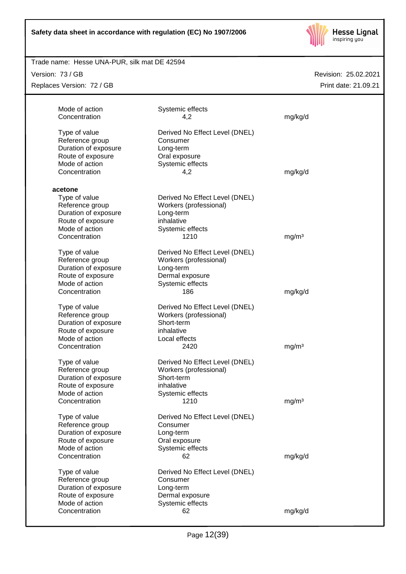

## Revision: 25.02.2021 Trade name: Hesse UNA-PUR, silk mat DE 42594 Print date: 21.09.21 Version: 73 / GB Replaces Version: 72 / GB Mode of action Systemic effects Concentration 4,2 mg/kg/d Type of value Derived No Effect Level (DNEL) Reference group Consumer Duration of exposure Long-term Route of exposure **Caleman Constant Constant Constant** Mode of action Systemic effects Concentration 4,2 mg/kg/d **acetone** Type of value Derived No Effect Level (DNEL) Reference group Workers (professional) Duration of exposure Long-term<br>
Route of exposure 
<br>
Route of exposure Route of exposure<br>Mode of action Systemic effects Concentration 1210 mg/m<sup>3</sup> Type of value Derived No Effect Level (DNEL) Reference group Workers (professional) Duration of exposure Long-term Route of exposure **Dermal exposure** Mode of action Systemic effects Concentration 186 mg/kg/d Type of value Derived No Effect Level (DNEL) Reference group Workers (professional) Duration of exposure Short-term Route of exposure inhalative Mode of action **Local effects** Concentration 2420 mg/m<sup>3</sup> Type of value Derived No Effect Level (DNEL) Reference group **Workers (professional)**<br>
Duration of exposure **Short-term** Duration of exposure Route of exposure inhalative Mode of action Systemic effects Concentration 1210 mg/m<sup>3</sup> Type of value Derived No Effect Level (DNEL) Reference group Consumer Duration of exposure Long-term Route of exposure **Calex Constant Constant Constant Constant** Constant Constant Constant Constant Constant Consta Mode of action Systemic effects Concentration 62 mg/kg/d Type of value Derived No Effect Level (DNEL) Reference group Consumer Duration of exposure Long-term Route of exposure **Dermal exposure** Mode of action Systemic effects Concentration 62 mg/kg/d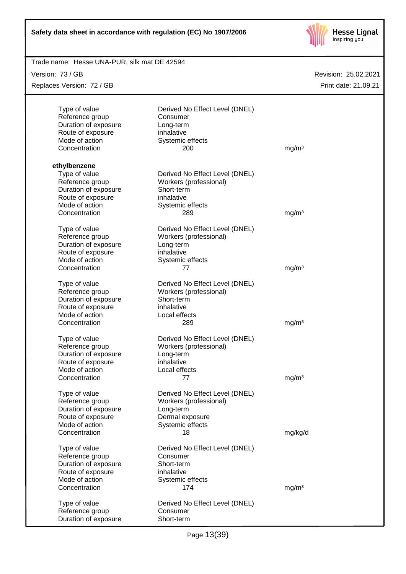

| Trade name: Hesse UNA-PUR, silk mat DE 42594 |                                |                   |                      |
|----------------------------------------------|--------------------------------|-------------------|----------------------|
| Version: 73 / GB                             |                                |                   | Revision: 25.02.2021 |
| Replaces Version: 72 / GB                    |                                |                   | Print date: 21.09.21 |
|                                              |                                |                   |                      |
| Type of value                                | Derived No Effect Level (DNEL) |                   |                      |
| Reference group                              | Consumer                       |                   |                      |
| Duration of exposure                         | Long-term                      |                   |                      |
| Route of exposure                            | inhalative                     |                   |                      |
| Mode of action                               | Systemic effects               |                   |                      |
| Concentration                                | 200                            | mg/m <sup>3</sup> |                      |
|                                              |                                |                   |                      |
| ethylbenzene                                 |                                |                   |                      |
| Type of value                                | Derived No Effect Level (DNEL) |                   |                      |
| Reference group                              | Workers (professional)         |                   |                      |
| Duration of exposure                         | Short-term                     |                   |                      |
| Route of exposure                            | inhalative                     |                   |                      |
| Mode of action                               | Systemic effects               |                   |                      |
| Concentration                                | 289                            | mg/m <sup>3</sup> |                      |
| Type of value                                | Derived No Effect Level (DNEL) |                   |                      |
| Reference group                              | Workers (professional)         |                   |                      |
| Duration of exposure                         | Long-term                      |                   |                      |
| Route of exposure                            | inhalative                     |                   |                      |
| Mode of action                               |                                |                   |                      |
| Concentration                                | Systemic effects<br>77         | mg/m <sup>3</sup> |                      |
|                                              |                                |                   |                      |
| Type of value                                | Derived No Effect Level (DNEL) |                   |                      |
| Reference group                              | Workers (professional)         |                   |                      |
| Duration of exposure                         | Short-term                     |                   |                      |
| Route of exposure                            | inhalative                     |                   |                      |
| Mode of action                               | Local effects                  |                   |                      |
| Concentration                                | 289                            | mg/m <sup>3</sup> |                      |
|                                              |                                |                   |                      |
| Type of value                                | Derived No Effect Level (DNEL) |                   |                      |
| Reference group                              | Workers (professional)         |                   |                      |
| Duration of exposure                         | Long-term                      |                   |                      |
| Route of exposure                            | inhalative                     |                   |                      |
| Mode of action<br>Concentration              | Local effects<br>77            | mg/m <sup>3</sup> |                      |
|                                              |                                |                   |                      |
| Type of value                                | Derived No Effect Level (DNEL) |                   |                      |
| Reference group                              | Workers (professional)         |                   |                      |
| Duration of exposure                         | Long-term                      |                   |                      |
| Route of exposure                            | Dermal exposure                |                   |                      |
| Mode of action                               | Systemic effects               |                   |                      |
| Concentration                                | 18                             | mg/kg/d           |                      |
|                                              |                                |                   |                      |
| Type of value                                | Derived No Effect Level (DNEL) |                   |                      |
| Reference group                              | Consumer                       |                   |                      |
| Duration of exposure                         | Short-term                     |                   |                      |
| Route of exposure                            | inhalative                     |                   |                      |
| Mode of action                               | Systemic effects               |                   |                      |
| Concentration                                | 174                            | mg/m <sup>3</sup> |                      |
| Type of value                                | Derived No Effect Level (DNEL) |                   |                      |
| Reference group                              | Consumer                       |                   |                      |
| Duration of exposure                         | Short-term                     |                   |                      |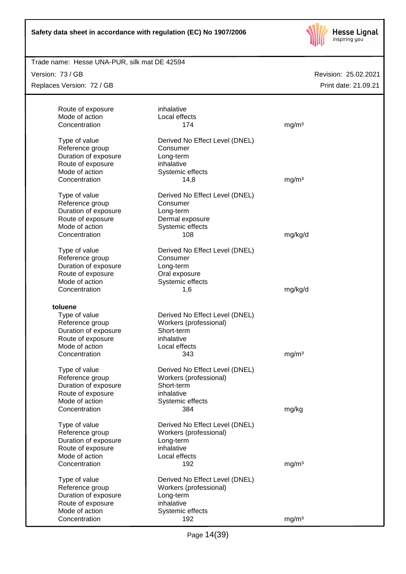

#### Trade name: Hesse UNA-PUR, silk mat DE 42594

Version: 73 / GB

Replaces Version: 72 / GB

| Route of exposure<br>Mode of action<br>Concentration                                                                        | inhalative<br>Local effects<br>174                                                                              | mg/m <sup>3</sup> |
|-----------------------------------------------------------------------------------------------------------------------------|-----------------------------------------------------------------------------------------------------------------|-------------------|
| Type of value<br>Reference group<br>Duration of exposure<br>Route of exposure<br>Mode of action<br>Concentration            | Derived No Effect Level (DNEL)<br>Consumer<br>Long-term<br>inhalative<br>Systemic effects<br>14,8               | mg/m <sup>3</sup> |
| Type of value<br>Reference group<br>Duration of exposure<br>Route of exposure<br>Mode of action<br>Concentration            | Derived No Effect Level (DNEL)<br>Consumer<br>Long-term<br>Dermal exposure<br>Systemic effects<br>108           | mg/kg/d           |
| Type of value<br>Reference group<br>Duration of exposure<br>Route of exposure<br>Mode of action<br>Concentration            | Derived No Effect Level (DNEL)<br>Consumer<br>Long-term<br>Oral exposure<br>Systemic effects<br>1,6             | mg/kg/d           |
| toluene<br>Type of value<br>Reference group<br>Duration of exposure<br>Route of exposure<br>Mode of action<br>Concentration | Derived No Effect Level (DNEL)<br>Workers (professional)<br>Short-term<br>inhalative<br>Local effects<br>343    | mg/m <sup>3</sup> |
| Type of value<br>Reference group<br>Duration of exposure<br>Route of exposure<br>Mode of action<br>Concentration            | Derived No Effect Level (DNEL)<br>Workers (professional)<br>Short-term<br>inhalative<br>Systemic effects<br>384 | mg/kg             |
| Type of value<br>Reference group<br>Duration of exposure<br>Route of exposure<br>Mode of action<br>Concentration            | Derived No Effect Level (DNEL)<br>Workers (professional)<br>Long-term<br>inhalative<br>Local effects<br>192     | mg/m <sup>3</sup> |
| Type of value<br>Reference group<br>Duration of exposure<br>Route of exposure<br>Mode of action<br>Concentration            | Derived No Effect Level (DNEL)<br>Workers (professional)<br>Long-term<br>inhalative<br>Systemic effects<br>192  | mg/m <sup>3</sup> |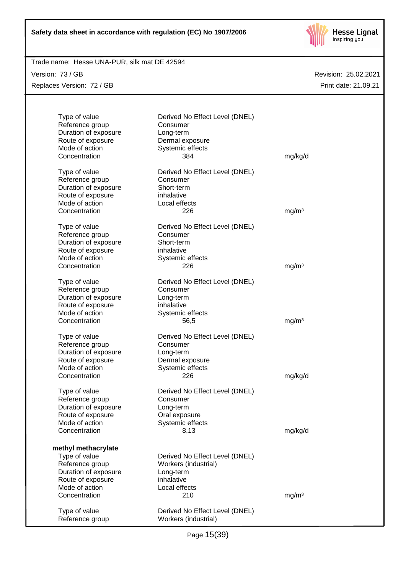

Trade name: Hesse UNA-PUR, silk mat DE 42594

Version: 73 / GB Replaces Version: 72 / GB

| Type of value<br>Reference group<br>Duration of exposure<br>Route of exposure<br>Mode of action<br>Concentration                        | Derived No Effect Level (DNEL)<br>Consumer<br>Long-term<br>Dermal exposure<br>Systemic effects<br>384     | mg/kg/d           |
|-----------------------------------------------------------------------------------------------------------------------------------------|-----------------------------------------------------------------------------------------------------------|-------------------|
| Type of value<br>Reference group<br>Duration of exposure<br>Route of exposure<br>Mode of action<br>Concentration                        | Derived No Effect Level (DNEL)<br>Consumer<br>Short-term<br>inhalative<br>Local effects<br>226            | mg/m <sup>3</sup> |
| Type of value<br>Reference group<br>Duration of exposure<br>Route of exposure<br>Mode of action<br>Concentration                        | Derived No Effect Level (DNEL)<br>Consumer<br>Short-term<br>inhalative<br>Systemic effects<br>226         | mg/m <sup>3</sup> |
| Type of value<br>Reference group<br>Duration of exposure<br>Route of exposure<br>Mode of action<br>Concentration                        | Derived No Effect Level (DNEL)<br>Consumer<br>Long-term<br>inhalative<br>Systemic effects<br>56,5         | mg/m <sup>3</sup> |
| Type of value<br>Reference group<br>Duration of exposure<br>Route of exposure<br>Mode of action<br>Concentration                        | Derived No Effect Level (DNEL)<br>Consumer<br>Long-term<br>Dermal exposure<br>Systemic effects<br>226     | mg/kg/d           |
| Type of value<br>Reference group<br>Duration of exposure<br>Route of exposure<br>Mode of action<br>Concentration                        | Derived No Effect Level (DNEL)<br>Consumer<br>Long-term<br>Oral exposure<br>Systemic effects<br>8,13      | mg/kg/d           |
| methyl methacrylate<br>Type of value<br>Reference group<br>Duration of exposure<br>Route of exposure<br>Mode of action<br>Concentration | Derived No Effect Level (DNEL)<br>Workers (industrial)<br>Long-term<br>inhalative<br>Local effects<br>210 | mg/m <sup>3</sup> |
| Type of value<br>Reference group                                                                                                        | Derived No Effect Level (DNEL)<br>Workers (industrial)                                                    |                   |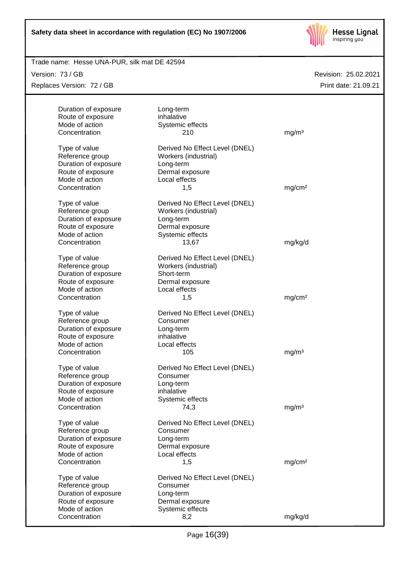

Trade name: Hesse UNA-PUR, silk mat DE 42594

Version: 73 / GB Replaces Version: 72 / GB

| Duration of exposure             | Long-term                                              |                    |
|----------------------------------|--------------------------------------------------------|--------------------|
| Route of exposure                | inhalative                                             |                    |
| Mode of action                   | Systemic effects                                       |                    |
| Concentration                    | 210                                                    | mg/m <sup>3</sup>  |
| Type of value                    | Derived No Effect Level (DNEL)                         |                    |
| Reference group                  | Workers (industrial)                                   |                    |
| Duration of exposure             | Long-term                                              |                    |
| Route of exposure                | Dermal exposure                                        |                    |
| Mode of action                   | Local effects                                          |                    |
| Concentration                    | 1,5                                                    | mg/cm <sup>2</sup> |
| Type of value                    | Derived No Effect Level (DNEL)                         |                    |
| Reference group                  | Workers (industrial)                                   |                    |
| Duration of exposure             | Long-term                                              |                    |
| Route of exposure                | Dermal exposure                                        |                    |
| Mode of action                   | Systemic effects                                       |                    |
| Concentration                    | 13,67                                                  | mg/kg/d            |
|                                  |                                                        |                    |
| Type of value<br>Reference group | Derived No Effect Level (DNEL)<br>Workers (industrial) |                    |
| Duration of exposure             | Short-term                                             |                    |
| Route of exposure                | Dermal exposure                                        |                    |
| Mode of action                   | Local effects                                          |                    |
| Concentration                    | 1,5                                                    | mg/cm <sup>2</sup> |
|                                  |                                                        |                    |
| Type of value                    | Derived No Effect Level (DNEL)                         |                    |
| Reference group                  | Consumer                                               |                    |
| Duration of exposure             | Long-term                                              |                    |
| Route of exposure                | inhalative                                             |                    |
| Mode of action                   | Local effects                                          |                    |
| Concentration                    | 105                                                    | mg/m <sup>3</sup>  |
| Type of value                    | Derived No Effect Level (DNEL)                         |                    |
| Reference group                  | Consumer                                               |                    |
| Duration of exposure             | Long-term                                              |                    |
| Route of exposure                | inhalative                                             |                    |
| Mode of action                   | Systemic effects                                       |                    |
| Concentration                    | 74,3                                                   | mg/m <sup>3</sup>  |
| Type of value                    | Derived No Effect Level (DNEL)                         |                    |
| Reference group                  | Consumer                                               |                    |
| Duration of exposure             | Long-term                                              |                    |
| Route of exposure                | Dermal exposure                                        |                    |
| Mode of action                   | Local effects                                          |                    |
| Concentration                    | 1,5                                                    | mg/cm <sup>2</sup> |
| Type of value                    | Derived No Effect Level (DNEL)                         |                    |
| Reference group                  | Consumer                                               |                    |
| Duration of exposure             | Long-term                                              |                    |
| Route of exposure                | Dermal exposure                                        |                    |
| Mode of action                   | Systemic effects                                       |                    |
| Concentration                    | 8,2                                                    | mg/kg/d            |
|                                  |                                                        |                    |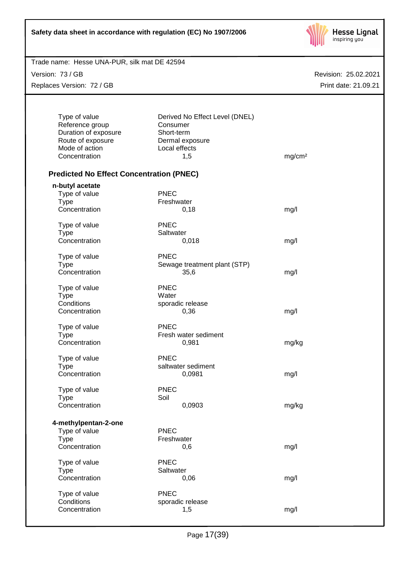

Trade name: Hesse UNA-PUR, silk mat DE 42594

Version: 73 / GB Replaces Version: 72 / GB

| Type of value<br>Reference group<br>Duration of exposure | Derived No Effect Level (DNEL)<br>Consumer<br>Short-term |                    |
|----------------------------------------------------------|----------------------------------------------------------|--------------------|
| Route of exposure                                        | Dermal exposure                                          |                    |
| Mode of action                                           | Local effects                                            |                    |
| Concentration                                            | 1,5                                                      | mg/cm <sup>2</sup> |
| <b>Predicted No Effect Concentration (PNEC)</b>          |                                                          |                    |
| n-butyl acetate                                          |                                                          |                    |
| Type of value                                            | <b>PNEC</b>                                              |                    |
| <b>Type</b>                                              | Freshwater                                               |                    |
| Concentration                                            | 0,18                                                     | mg/l               |
| Type of value                                            | <b>PNEC</b>                                              |                    |
| <b>Type</b>                                              | Saltwater                                                |                    |
| Concentration                                            | 0,018                                                    | mg/l               |
|                                                          | PNEC                                                     |                    |
| Type of value                                            |                                                          |                    |
| <b>Type</b>                                              | Sewage treatment plant (STP)                             |                    |
| Concentration                                            | 35,6                                                     | mg/l               |
| Type of value                                            | <b>PNEC</b>                                              |                    |
| <b>Type</b>                                              | Water                                                    |                    |
| Conditions                                               | sporadic release                                         |                    |
| Concentration                                            | 0,36                                                     | mg/l               |
| Type of value                                            | <b>PNEC</b>                                              |                    |
| <b>Type</b>                                              | Fresh water sediment                                     |                    |
| Concentration                                            | 0,981                                                    | mg/kg              |
| Type of value                                            | <b>PNEC</b>                                              |                    |
| <b>Type</b>                                              | saltwater sediment                                       |                    |
| Concentration                                            | 0,0981                                                   | mg/l               |
|                                                          |                                                          |                    |
| Type of value                                            | <b>PNEC</b>                                              |                    |
| <b>Type</b>                                              | Soil                                                     |                    |
| Concentration                                            | 0,0903                                                   | mg/kg              |
| 4-methylpentan-2-one                                     |                                                          |                    |
| Type of value                                            | <b>PNEC</b>                                              |                    |
| <b>Type</b>                                              | Freshwater                                               |                    |
| Concentration                                            | 0,6                                                      | mg/l               |
| Type of value                                            | <b>PNEC</b>                                              |                    |
| <b>Type</b>                                              | Saltwater                                                |                    |
| Concentration                                            | 0,06                                                     | mg/l               |
| Type of value                                            | <b>PNEC</b>                                              |                    |
| Conditions                                               | sporadic release                                         |                    |
|                                                          | 1,5                                                      |                    |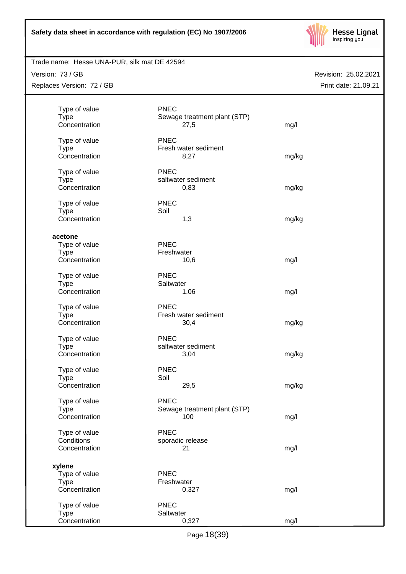

## Trade name: Hesse UNA-PUR, silk mat DE 42594

Version: 73 / GB Replaces Version: 72 / GB

| <b>Type</b> | Type of value               | <b>PNEC</b><br>Sewage treatment plant (STP) |       |
|-------------|-----------------------------|---------------------------------------------|-------|
|             | Concentration               | 27,5                                        | mg/l  |
|             | Type of value               | <b>PNEC</b><br>Fresh water sediment         |       |
| <b>Type</b> | Concentration               | 8,27                                        | mg/kg |
| <b>Type</b> | Type of value               | <b>PNEC</b><br>saltwater sediment           |       |
|             | Concentration               | 0,83                                        | mg/kg |
|             | Type of value               | <b>PNEC</b>                                 |       |
| <b>Type</b> | Concentration               | Soil<br>1,3                                 | mg/kg |
| acetone     |                             |                                             |       |
|             | Type of value               | <b>PNEC</b>                                 |       |
| <b>Type</b> | Concentration               | Freshwater<br>10,6                          | mg/l  |
|             |                             |                                             |       |
| <b>Type</b> | Type of value               | <b>PNEC</b><br>Saltwater                    |       |
|             | Concentration               | 1,06                                        | mg/l  |
|             | Type of value               | <b>PNEC</b>                                 |       |
| <b>Type</b> | Concentration               | Fresh water sediment<br>30,4                | mg/kg |
|             | Type of value               | <b>PNEC</b>                                 |       |
| <b>Type</b> |                             | saltwater sediment                          |       |
|             | Concentration               | 3,04                                        | mg/kg |
|             | Type of value               | <b>PNEC</b>                                 |       |
| <b>Type</b> | Concentration               | Soil<br>29,5                                | mg/kg |
|             |                             |                                             |       |
|             | Type of value               | <b>PNEC</b>                                 |       |
| <b>Type</b> | Concentration               | Sewage treatment plant (STP)<br>100         | mg/l  |
|             |                             |                                             |       |
|             | Type of value<br>Conditions | <b>PNEC</b><br>sporadic release             |       |
|             | Concentration               | 21                                          | mg/l  |
| xylene      |                             |                                             |       |
|             | Type of value               | <b>PNEC</b>                                 |       |
| <b>Type</b> |                             | Freshwater                                  |       |
|             | Concentration               | 0,327                                       | mg/l  |
|             | Type of value               | <b>PNEC</b>                                 |       |
| <b>Type</b> |                             | Saltwater                                   |       |
|             | Concentration               | 0,327                                       | mg/l  |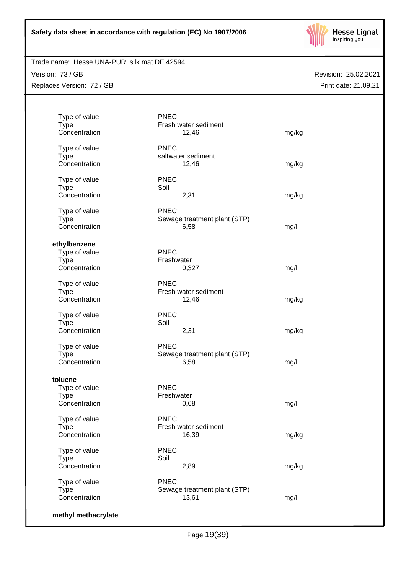

## Trade name: Hesse UNA-PUR, silk mat DE 42594

Version: 73 / GB Replaces Version: 72 / GB

| Type of value<br><b>Type</b><br>Concentration | <b>PNEC</b><br>Fresh water sediment<br>12,46 | mg/kg |
|-----------------------------------------------|----------------------------------------------|-------|
| Type of value                                 | <b>PNEC</b>                                  |       |
| <b>Type</b>                                   | saltwater sediment                           |       |
| Concentration                                 | 12,46                                        | mg/kg |
| Type of value                                 | <b>PNEC</b>                                  |       |
| <b>Type</b>                                   | Soil                                         |       |
| Concentration                                 | 2,31                                         | mg/kg |
| Type of value                                 | <b>PNEC</b>                                  |       |
| <b>Type</b>                                   | Sewage treatment plant (STP)                 |       |
| Concentration                                 | 6,58                                         | mg/l  |
| ethylbenzene                                  |                                              |       |
| Type of value                                 | <b>PNEC</b>                                  |       |
| <b>Type</b>                                   | Freshwater                                   |       |
| Concentration                                 | 0,327                                        | mg/l  |
| Type of value                                 | <b>PNEC</b>                                  |       |
| <b>Type</b>                                   | Fresh water sediment                         |       |
| Concentration                                 | 12,46                                        | mg/kg |
| Type of value                                 | <b>PNEC</b>                                  |       |
| <b>Type</b>                                   | Soil                                         |       |
| Concentration                                 | 2,31                                         | mg/kg |
| Type of value                                 | <b>PNEC</b>                                  |       |
| <b>Type</b>                                   | Sewage treatment plant (STP)                 |       |
| Concentration                                 | 6,58                                         | mg/l  |
| toluene                                       |                                              |       |
| Type of value                                 | <b>PNEC</b>                                  |       |
| <b>Type</b>                                   | Freshwater                                   |       |
| Concentration                                 | 0,68                                         | mg/l  |
| Type of value                                 | <b>PNEC</b>                                  |       |
| <b>Type</b>                                   | Fresh water sediment                         |       |
| Concentration                                 | 16,39                                        | mg/kg |
| Type of value                                 | <b>PNEC</b>                                  |       |
| <b>Type</b>                                   | Soil                                         |       |
| Concentration                                 | 2,89                                         | mg/kg |
| Type of value                                 | <b>PNEC</b>                                  |       |
| <b>Type</b>                                   | Sewage treatment plant (STP)                 |       |
| Concentration                                 | 13,61                                        | mg/l  |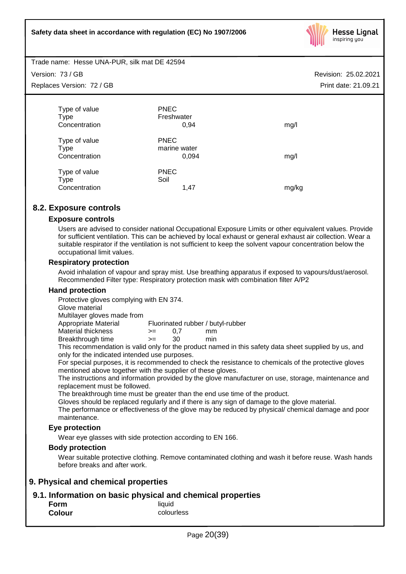

Trade name: Hesse UNA-PUR, silk mat DE 42594

Version: 73 / GB

Replaces Version: 72 / GB

| Type of value                                 | <b>PNEC</b><br>Freshwater            |       |
|-----------------------------------------------|--------------------------------------|-------|
| <b>Type</b>                                   |                                      |       |
| Concentration                                 | 0,94                                 | mg/l  |
| Type of value<br><b>Type</b><br>Concentration | <b>PNEC</b><br>marine water<br>0,094 | mg/l  |
| Type of value                                 | <b>PNEC</b>                          |       |
| Type                                          | Soil                                 |       |
| Concentration                                 | 1,47                                 | mg/kg |
|                                               |                                      |       |

## **8.2. Exposure controls**

## **Exposure controls**

Users are advised to consider national Occupational Exposure Limits or other equivalent values. Provide for sufficient ventilation. This can be achieved by local exhaust or general exhaust air collection. Wear a suitable respirator if the ventilation is not sufficient to keep the solvent vapour concentration below the occupational limit values.

## **Respiratory protection**

Avoid inhalation of vapour and spray mist. Use breathing apparatus if exposed to vapours/dust/aerosol. Recommended Filter type: Respiratory protection mask with combination filter A/P2

## **Hand protection**

Protective gloves complying with EN 374.

Glove material

Multilayer gloves made from

Appropriate Material Fluorinated rubber / butyl-rubber

Material thickness  $\rightarrow$  = 0.7 mm Breakthrough time >= 30 min

This recommendation is valid only for the product named in this safety data sheet supplied by us, and only for the indicated intended use purposes.

For special purposes, it is recommended to check the resistance to chemicals of the protective gloves mentioned above together with the supplier of these gloves.

The instructions and information provided by the glove manufacturer on use, storage, maintenance and replacement must be followed.

The breakthrough time must be greater than the end use time of the product.

Gloves should be replaced regularly and if there is any sign of damage to the glove material.

The performance or effectiveness of the glove may be reduced by physical/ chemical damage and poor maintenance.

## **Eye protection**

Wear eye glasses with side protection according to EN 166.

## **Body protection**

Wear suitable protective clothing. Remove contaminated clothing and wash it before reuse. Wash hands before breaks and after work.

## **9. Physical and chemical properties**

## **9.1. Information on basic physical and chemical properties**

| Form          | liquid     |
|---------------|------------|
| <b>Colour</b> | colourless |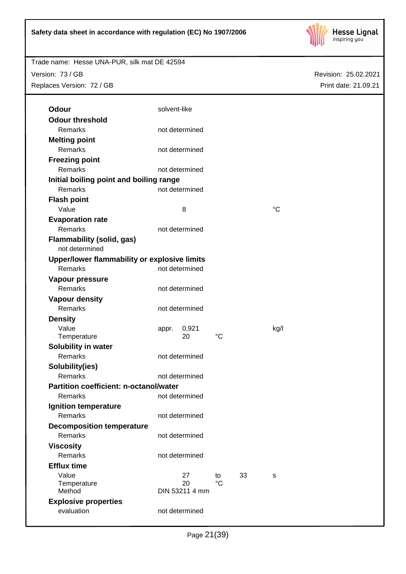

Revision: 25.02.2021

Print date: 21.09.21

Trade name: Hesse UNA-PUR, silk mat DE 42594 Version: 73 / GB

Replaces Version: 72 / GB

| <b>Odour</b>                                       | solvent-like   |                |             |    |             |  |
|----------------------------------------------------|----------------|----------------|-------------|----|-------------|--|
| <b>Odour threshold</b>                             |                |                |             |    |             |  |
| Remarks                                            | not determined |                |             |    |             |  |
|                                                    |                |                |             |    |             |  |
| <b>Melting point</b><br>Remarks                    |                | not determined |             |    |             |  |
|                                                    |                |                |             |    |             |  |
| <b>Freezing point</b>                              |                |                |             |    |             |  |
| Remarks                                            |                | not determined |             |    |             |  |
| Initial boiling point and boiling range            |                |                |             |    |             |  |
| <b>Remarks</b>                                     |                | not determined |             |    |             |  |
| <b>Flash point</b>                                 |                |                |             |    |             |  |
| Value                                              |                | 8              |             |    | $^{\circ}C$ |  |
| <b>Evaporation rate</b>                            |                |                |             |    |             |  |
| Remarks                                            |                | not determined |             |    |             |  |
| <b>Flammability (solid, gas)</b><br>not determined |                |                |             |    |             |  |
| Upper/lower flammability or explosive limits       |                |                |             |    |             |  |
| Remarks                                            |                | not determined |             |    |             |  |
| Vapour pressure                                    |                |                |             |    |             |  |
| Remarks                                            | not determined |                |             |    |             |  |
| <b>Vapour density</b>                              |                |                |             |    |             |  |
| Remarks                                            | not determined |                |             |    |             |  |
| <b>Density</b>                                     |                |                |             |    |             |  |
| Value                                              |                | 0,921          |             |    | kg/l        |  |
| Temperature                                        | appr.          | 20             | $^{\circ}C$ |    |             |  |
| Solubility in water                                |                |                |             |    |             |  |
| Remarks                                            |                | not determined |             |    |             |  |
| Solubility(ies)                                    |                |                |             |    |             |  |
| Remarks                                            |                | not determined |             |    |             |  |
| Partition coefficient: n-octanol/water             |                |                |             |    |             |  |
| Remarks                                            |                | not determined |             |    |             |  |
| Ignition temperature                               |                |                |             |    |             |  |
| <b>Remarks</b>                                     |                | not determined |             |    |             |  |
|                                                    |                |                |             |    |             |  |
| <b>Decomposition temperature</b><br>Remarks        |                | not determined |             |    |             |  |
|                                                    |                |                |             |    |             |  |
| <b>Viscosity</b><br>Remarks                        |                |                |             |    |             |  |
|                                                    |                | not determined |             |    |             |  |
| <b>Efflux time</b>                                 |                |                |             |    |             |  |
| Value<br>Temperature                               |                | 27<br>20       | to<br>°C    | 33 | s           |  |
| Method                                             |                | DIN 53211 4 mm |             |    |             |  |
| <b>Explosive properties</b>                        |                |                |             |    |             |  |
| evaluation                                         |                | not determined |             |    |             |  |
|                                                    |                |                |             |    |             |  |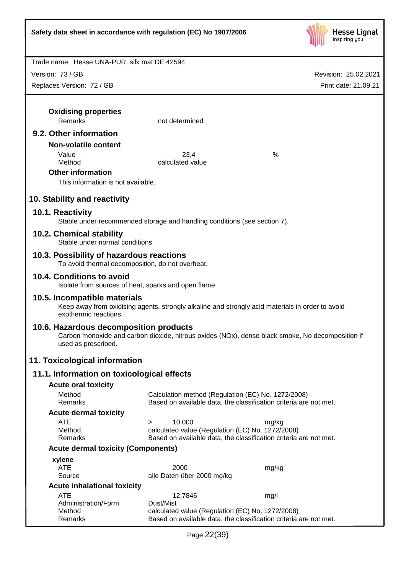

Revision: 25.02.2021

Print date: 21.09.21

Trade name: Hesse UNA-PUR, silk mat DE 42594 Version: 73 / GB Replaces Version: 72 / GB **Oxidising properties** Remarks not determined **9.2. Other information Non-volatile content** Value 23,4 % Method calculated value **Other information** This information is not available. **10. Stability and reactivity 10.1. Reactivity** Stable under recommended storage and handling conditions (see section 7). **10.2. Chemical stability** Stable under normal conditions. **10.3. Possibility of hazardous reactions** To avoid thermal decomposition, do not overheat. **10.4. Conditions to avoid** Isolate from sources of heat, sparks and open flame. **10.5. Incompatible materials** Keep away from oxidising agents, strongly alkaline and strongly acid materials in order to avoid exothermic reactions. **10.6. Hazardous decomposition products** Carbon monoxide and carbon dioxide, nitrous oxides (NOx), dense black smoke, No decomposition if used as prescribed. **11. Toxicological information 11.1. Information on toxicological effects Acute oral toxicity** Method Calculation method (Regulation (EC) No. 1272/2008) Remarks Based on available data, the classification criteria are not met. **Acute dermal toxicity** ATE > 10.000 mg/kg Method calculated value (Regulation (EC) No. 1272/2008) Remarks Based on available data, the classification criteria are not met. **Acute dermal toxicity (Components) xylene** ATE 2000 mg/kg Source alle Daten über 2000 mg/kg **Acute inhalational toxicity** ATE 12,7846 mg/l

Page 22(39)

Remarks Based on available data, the classification criteria are not met.

Method calculated value (Regulation (EC) No. 1272/2008)

Administration/Form Dust/Mist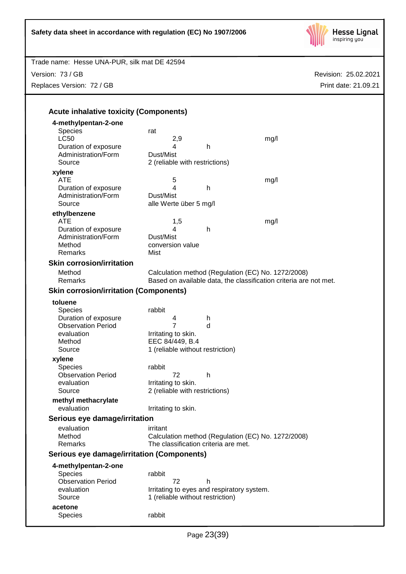

Trade name: Hesse UNA-PUR, silk mat DE 42594

Version: 73 / GB Replaces Version: 72 / GB

| 4-methylpentan-2-one                              |                                            |   |                                                                   |
|---------------------------------------------------|--------------------------------------------|---|-------------------------------------------------------------------|
| <b>Species</b>                                    | rat                                        |   |                                                                   |
| <b>LC50</b>                                       | 2,9                                        |   | mg/l                                                              |
| Duration of exposure                              | 4                                          | h |                                                                   |
| Administration/Form                               | Dust/Mist                                  |   |                                                                   |
| Source                                            | 2 (reliable with restrictions)             |   |                                                                   |
| xylene                                            |                                            |   |                                                                   |
| <b>ATE</b>                                        | 5                                          |   | mg/l                                                              |
| Duration of exposure                              | 4                                          | h |                                                                   |
| Administration/Form                               | Dust/Mist                                  |   |                                                                   |
| Source                                            | alle Werte über 5 mg/l                     |   |                                                                   |
| ethylbenzene                                      |                                            |   |                                                                   |
| <b>ATE</b>                                        | 1,5                                        |   | mg/l                                                              |
| Duration of exposure<br>Administration/Form       | 4<br>Dust/Mist                             | h |                                                                   |
| Method                                            | conversion value                           |   |                                                                   |
| Remarks                                           | Mist                                       |   |                                                                   |
|                                                   |                                            |   |                                                                   |
| <b>Skin corrosion/irritation</b>                  |                                            |   |                                                                   |
| Method                                            |                                            |   | Calculation method (Regulation (EC) No. 1272/2008)                |
| Remarks                                           |                                            |   | Based on available data, the classification criteria are not met. |
| <b>Skin corrosion/irritation (Components)</b>     |                                            |   |                                                                   |
| toluene                                           |                                            |   |                                                                   |
| <b>Species</b>                                    | rabbit                                     |   |                                                                   |
| Duration of exposure                              | 4                                          | h |                                                                   |
| <b>Observation Period</b>                         | 7                                          | d |                                                                   |
| evaluation                                        | Irritating to skin.                        |   |                                                                   |
| Method                                            | EEC 84/449, B.4                            |   |                                                                   |
| Source                                            | 1 (reliable without restriction)           |   |                                                                   |
| xylene                                            |                                            |   |                                                                   |
| Species                                           | rabbit                                     |   |                                                                   |
| <b>Observation Period</b>                         | 72                                         | h |                                                                   |
| evaluation                                        | Irritating to skin.                        |   |                                                                   |
| Source                                            | 2 (reliable with restrictions)             |   |                                                                   |
| methyl methacrylate                               |                                            |   |                                                                   |
| evaluation                                        | Irritating to skin.                        |   |                                                                   |
| Serious eye damage/irritation                     |                                            |   |                                                                   |
| evaluation                                        | irritant                                   |   |                                                                   |
| Method                                            |                                            |   | Calculation method (Regulation (EC) No. 1272/2008)                |
| Remarks                                           | The classification criteria are met.       |   |                                                                   |
| <b>Serious eye damage/irritation (Components)</b> |                                            |   |                                                                   |
| 4-methylpentan-2-one                              |                                            |   |                                                                   |
| <b>Species</b>                                    | rabbit                                     |   |                                                                   |
| <b>Observation Period</b>                         | 72                                         | h |                                                                   |
|                                                   | Irritating to eyes and respiratory system. |   |                                                                   |
|                                                   |                                            |   |                                                                   |
| evaluation<br>Source                              |                                            |   |                                                                   |
| acetone                                           | 1 (reliable without restriction)           |   |                                                                   |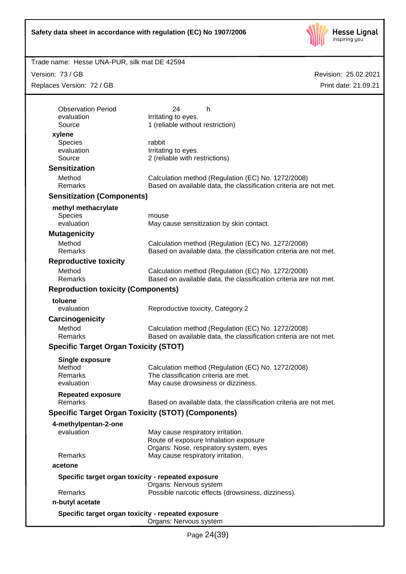

Trade name: Hesse UNA-PUR, silk mat DE 42594

Version: 73 / GB Replaces Version: 72 / GB

| <b>Observation Period</b>                          | 24<br>h.                                                                        |
|----------------------------------------------------|---------------------------------------------------------------------------------|
| evaluation                                         | Irritating to eyes.                                                             |
| Source                                             | 1 (reliable without restriction)                                                |
| xylene<br>Species                                  | rabbit                                                                          |
| evaluation                                         | Irritating to eyes.                                                             |
| Source                                             | 2 (reliable with restrictions)                                                  |
| <b>Sensitization</b>                               |                                                                                 |
| Method                                             | Calculation method (Regulation (EC) No. 1272/2008)                              |
| Remarks                                            | Based on available data, the classification criteria are not met.               |
| <b>Sensitization (Components)</b>                  |                                                                                 |
| methyl methacrylate                                |                                                                                 |
| <b>Species</b>                                     | mouse                                                                           |
| evaluation                                         | May cause sensitization by skin contact.                                        |
| <b>Mutagenicity</b>                                |                                                                                 |
| Method                                             | Calculation method (Regulation (EC) No. 1272/2008)                              |
| Remarks                                            | Based on available data, the classification criteria are not met.               |
| <b>Reproductive toxicity</b>                       |                                                                                 |
| Method                                             | Calculation method (Regulation (EC) No. 1272/2008)                              |
| Remarks                                            | Based on available data, the classification criteria are not met.               |
| <b>Reproduction toxicity (Components)</b>          |                                                                                 |
| toluene                                            |                                                                                 |
| evaluation                                         | Reproductive toxicity, Category 2                                               |
| Carcinogenicity                                    |                                                                                 |
| Method                                             | Calculation method (Regulation (EC) No. 1272/2008)                              |
| <b>Remarks</b>                                     | Based on available data, the classification criteria are not met.               |
| <b>Specific Target Organ Toxicity (STOT)</b>       |                                                                                 |
| <b>Single exposure</b>                             |                                                                                 |
| Method                                             | Calculation method (Regulation (EC) No. 1272/2008)                              |
| <b>Remarks</b>                                     | The classification criteria are met.                                            |
| evaluation                                         | May cause drowsiness or dizziness.                                              |
| <b>Repeated exposure</b>                           |                                                                                 |
| Remarks                                            | Based on available data, the classification criteria are not met.               |
|                                                    | <b>Specific Target Organ Toxicity (STOT) (Components)</b>                       |
| 4-methylpentan-2-one                               |                                                                                 |
| evaluation                                         | May cause respiratory irritation.                                               |
|                                                    | Route of exposure Inhalation exposure<br>Organs: Nose, respiratory system, eyes |
| Remarks                                            | May cause respiratory irritation.                                               |
| acetone                                            |                                                                                 |
| Specific target organ toxicity - repeated exposure |                                                                                 |
|                                                    | Organs: Nervous system                                                          |
| Remarks                                            | Possible narcotic effects (drowsiness, dizziness).                              |
| n-butyl acetate                                    |                                                                                 |
| Specific target organ toxicity - repeated exposure |                                                                                 |
|                                                    | Organs: Nervous system                                                          |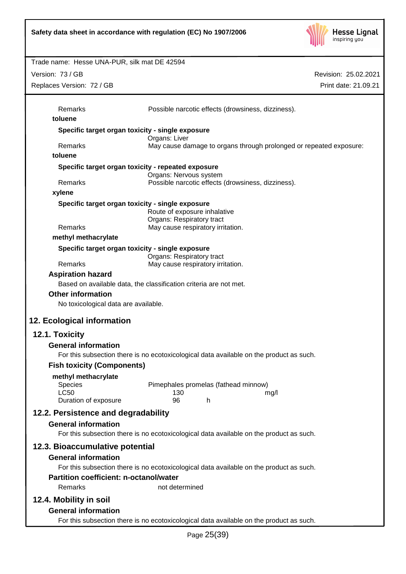

Revision: 25.02.2021 Trade name: Hesse UNA-PUR, silk mat DE 42594 Print date: 21.09.21 Version: 73 / GB Replaces Version: 72 / GB Remarks Possible narcotic effects (drowsiness, dizziness). **toluene Specific target organ toxicity - single exposure** Organs: Liver Remarks May cause damage to organs through prolonged or repeated exposure: **toluene Specific target organ toxicity - repeated exposure** Organs: Nervous system Remarks Possible narcotic effects (drowsiness, dizziness). **xylene Specific target organ toxicity - single exposure** Route of exposure inhalative Organs: Respiratory tract Remarks May cause respiratory irritation. **methyl methacrylate Specific target organ toxicity - single exposure** Organs: Respiratory tract Remarks May cause respiratory irritation. **Aspiration hazard** Based on available data, the classification criteria are not met. **Other information** No toxicological data are available. **12. Ecological information 12.1. Toxicity General information** For this subsection there is no ecotoxicological data available on the product as such. **Fish toxicity (Components) methyl methacrylate** Species Pimephales promelas (fathead minnow) LC50 130 mg/l Duration of exposure 96 h **12.2. Persistence and degradability General information** For this subsection there is no ecotoxicological data available on the product as such. **12.3. Bioaccumulative potential General information** For this subsection there is no ecotoxicological data available on the product as such. **Partition coefficient: n-octanol/water** Remarks not determined **12.4. Mobility in soil General information** For this subsection there is no ecotoxicological data available on the product as such.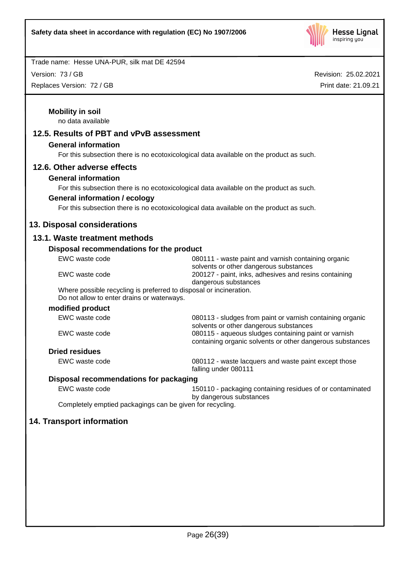

Version: 73 / GB

Replaces Version: 72 / GB

| <b>Mobility in soil</b><br>no data available                                                                     |                                                                                                                   |
|------------------------------------------------------------------------------------------------------------------|-------------------------------------------------------------------------------------------------------------------|
| 12.5. Results of PBT and vPvB assessment                                                                         |                                                                                                                   |
| <b>General information</b>                                                                                       |                                                                                                                   |
|                                                                                                                  | For this subsection there is no ecotoxicological data available on the product as such.                           |
| 12.6. Other adverse effects                                                                                      |                                                                                                                   |
| <b>General information</b>                                                                                       |                                                                                                                   |
|                                                                                                                  | For this subsection there is no ecotoxicological data available on the product as such.                           |
| <b>General information / ecology</b>                                                                             |                                                                                                                   |
|                                                                                                                  | For this subsection there is no ecotoxicological data available on the product as such.                           |
|                                                                                                                  |                                                                                                                   |
| 13. Disposal considerations                                                                                      |                                                                                                                   |
| 13.1. Waste treatment methods                                                                                    |                                                                                                                   |
| Disposal recommendations for the product                                                                         |                                                                                                                   |
| EWC waste code                                                                                                   | 080111 - waste paint and varnish containing organic<br>solvents or other dangerous substances                     |
| EWC waste code                                                                                                   | 200127 - paint, inks, adhesives and resins containing<br>dangerous substances                                     |
| Where possible recycling is preferred to disposal or incineration.<br>Do not allow to enter drains or waterways. |                                                                                                                   |
| modified product                                                                                                 |                                                                                                                   |
| EWC waste code                                                                                                   | 080113 - sludges from paint or varnish containing organic<br>solvents or other dangerous substances               |
| EWC waste code                                                                                                   | 080115 - aqueous sludges containing paint or varnish<br>containing organic solvents or other dangerous substances |
| <b>Dried residues</b>                                                                                            |                                                                                                                   |
| EWC waste code                                                                                                   | 080112 - waste lacquers and waste paint except those<br>falling under 080111                                      |
| Disposal recommendations for packaging                                                                           |                                                                                                                   |
| EWC waste code                                                                                                   | 150110 - packaging containing residues of or contaminated<br>by dangerous substances                              |
| Completely emptied packagings can be given for recycling.                                                        |                                                                                                                   |
| 14. Transport information                                                                                        |                                                                                                                   |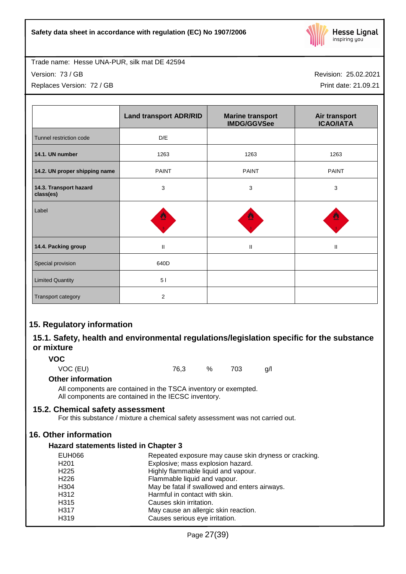

Trade name: Hesse UNA-PUR, silk mat DE 42594 Version: 73 / GB

Replaces Version: 72 / GB

Revision: 25.02.2021

Print date: 21.09.21

|                                     | <b>Land transport ADR/RID</b> | <b>Marine transport</b><br><b>IMDG/GGVSee</b> | Air transport<br><b>ICAO/IATA</b> |
|-------------------------------------|-------------------------------|-----------------------------------------------|-----------------------------------|
| Tunnel restriction code             | D/E                           |                                               |                                   |
| 14.1. UN number                     | 1263                          | 1263                                          | 1263                              |
| 14.2. UN proper shipping name       | <b>PAINT</b>                  | <b>PAINT</b>                                  | <b>PAINT</b>                      |
| 14.3. Transport hazard<br>class(es) | 3                             | 3                                             | 3                                 |
| Label                               | ≝                             |                                               |                                   |
| 14.4. Packing group                 | $\mathbf{I}$                  | $\mathbf{II}$                                 | Ш                                 |
| Special provision                   | 640D                          |                                               |                                   |
| <b>Limited Quantity</b>             | 51                            |                                               |                                   |
| Transport category                  | $\overline{2}$                |                                               |                                   |

## **15. Regulatory information**

## **15.1. Safety, health and environmental regulations/legislation specific for the substance or mixture**

**VOC**

VOC (EU) 76,3 % 703 g/l

## **Other information**

All components are contained in the TSCA inventory or exempted. All components are contained in the IECSC inventory.

## **15.2. Chemical safety assessment**

For this substance / mixture a chemical safety assessment was not carried out.

## **16. Other information**

## **Hazard statements listed in Chapter 3**

| <b>EUH066</b>    | Repeated exposure may cause skin dryness or cracking. |
|------------------|-------------------------------------------------------|
| H <sub>201</sub> | Explosive; mass explosion hazard.                     |
| H <sub>225</sub> | Highly flammable liquid and vapour.                   |
| H <sub>226</sub> | Flammable liquid and vapour.                          |
| H <sub>304</sub> | May be fatal if swallowed and enters airways.         |
| H312             | Harmful in contact with skin.                         |
| H <sub>315</sub> | Causes skin irritation.                               |
| H317             | May cause an allergic skin reaction.                  |
| H319             | Causes serious eye irritation.                        |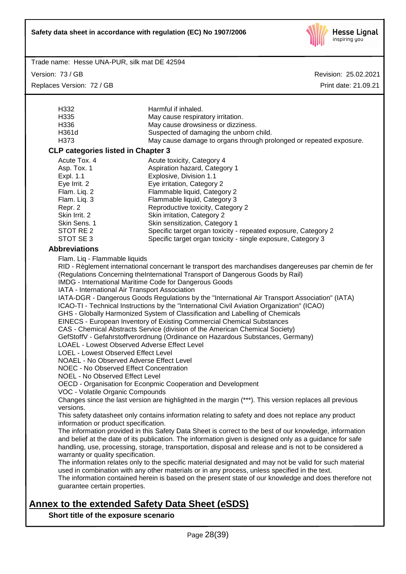

Trade name: Hesse UNA-PUR, silk mat DE 42594

Version: 73 / GB Replaces Version: 72 / GB Revision: 25.02.2021 Print date: 21.09.21

| H332                                                                                                                                         | Harmful if inhaled.                                                                                      |  |  |  |
|----------------------------------------------------------------------------------------------------------------------------------------------|----------------------------------------------------------------------------------------------------------|--|--|--|
| H335                                                                                                                                         | May cause respiratory irritation.                                                                        |  |  |  |
| H336                                                                                                                                         | May cause drowsiness or dizziness.                                                                       |  |  |  |
| H361d                                                                                                                                        | Suspected of damaging the unborn child.                                                                  |  |  |  |
| H373                                                                                                                                         | May cause damage to organs through prolonged or repeated exposure.                                       |  |  |  |
| <b>CLP categories listed in Chapter 3</b>                                                                                                    |                                                                                                          |  |  |  |
|                                                                                                                                              |                                                                                                          |  |  |  |
| Acute Tox. 4                                                                                                                                 | Acute toxicity, Category 4                                                                               |  |  |  |
| Asp. Tox. 1                                                                                                                                  | Aspiration hazard, Category 1                                                                            |  |  |  |
| Expl. 1.1                                                                                                                                    | Explosive, Division 1.1                                                                                  |  |  |  |
| Eye Irrit. 2                                                                                                                                 | Eye irritation, Category 2                                                                               |  |  |  |
| Flam. Liq. 2                                                                                                                                 | Flammable liquid, Category 2                                                                             |  |  |  |
| Flam. Liq. 3                                                                                                                                 | Flammable liquid, Category 3                                                                             |  |  |  |
| Reproductive toxicity, Category 2<br>Repr. 2                                                                                                 |                                                                                                          |  |  |  |
| Skin Irrit. 2                                                                                                                                | Skin irritation, Category 2                                                                              |  |  |  |
| Skin Sens. 1                                                                                                                                 | Skin sensitization, Category 1                                                                           |  |  |  |
| STOT RE 2                                                                                                                                    | Specific target organ toxicity - repeated exposure, Category 2                                           |  |  |  |
| STOT SE 3                                                                                                                                    | Specific target organ toxicity - single exposure, Category 3                                             |  |  |  |
| <b>Abbreviations</b>                                                                                                                         |                                                                                                          |  |  |  |
| Flam. Liq - Flammable liquids                                                                                                                |                                                                                                          |  |  |  |
|                                                                                                                                              | RID - Règlement international concernant le transport des marchandises dangereuses par chemin de fer     |  |  |  |
|                                                                                                                                              | (Regulations Concerning theInternational Transport of Dangerous Goods by Rail)                           |  |  |  |
|                                                                                                                                              | IMDG - International Maritime Code for Dangerous Goods                                                   |  |  |  |
| IATA - International Air Transport Association                                                                                               |                                                                                                          |  |  |  |
|                                                                                                                                              | IATA-DGR - Dangerous Goods Regulations by the "International Air Transport Association" (IATA)           |  |  |  |
|                                                                                                                                              | ICAO-TI - Technical Instructions by the "International Civil Aviation Organization" (ICAO)               |  |  |  |
|                                                                                                                                              | GHS - Globally Harmonized System of Classification and Labelling of Chemicals                            |  |  |  |
|                                                                                                                                              | EINECS - European Inventory of Existing Commercial Chemical Substances                                   |  |  |  |
|                                                                                                                                              | CAS - Chemical Abstracts Service (division of the American Chemical Society)                             |  |  |  |
|                                                                                                                                              | GefStoffV - Gefahrstoffverordnung (Ordinance on Hazardous Substances, Germany)                           |  |  |  |
|                                                                                                                                              |                                                                                                          |  |  |  |
| <b>LOAEL - Lowest Observed Adverse Effect Level</b><br>LOEL - Lowest Observed Effect Level                                                   |                                                                                                          |  |  |  |
| NOAEL - No Observed Adverse Effect Level                                                                                                     |                                                                                                          |  |  |  |
| <b>NOEC - No Observed Effect Concentration</b>                                                                                               |                                                                                                          |  |  |  |
| <b>NOEL - No Observed Effect Level</b>                                                                                                       |                                                                                                          |  |  |  |
|                                                                                                                                              | OECD - Organisation for Econpmic Cooperation and Development                                             |  |  |  |
| VOC - Volatile Organic Compounds                                                                                                             |                                                                                                          |  |  |  |
|                                                                                                                                              | Changes since the last version are highlighted in the margin (***). This version replaces all previous   |  |  |  |
| versions.                                                                                                                                    |                                                                                                          |  |  |  |
|                                                                                                                                              |                                                                                                          |  |  |  |
| This safety datasheet only contains information relating to safety and does not replace any product<br>information or product specification. |                                                                                                          |  |  |  |
| The information provided in this Safety Data Sheet is correct to the best of our knowledge, information                                      |                                                                                                          |  |  |  |
|                                                                                                                                              | and belief at the date of its publication. The information given is designed only as a guidance for safe |  |  |  |
|                                                                                                                                              | handling, use, processing, storage, transportation, disposal and release and is not to be considered a   |  |  |  |
| warranty or quality specification.                                                                                                           |                                                                                                          |  |  |  |
|                                                                                                                                              | The information relates only to the specific material designated and may not be valid for such material  |  |  |  |
|                                                                                                                                              | used in combination with any other materials or in any process, unless specified in the text.            |  |  |  |
|                                                                                                                                              |                                                                                                          |  |  |  |
| The information contained herein is based on the present state of our knowledge and does therefore not<br>guarantee certain properties.      |                                                                                                          |  |  |  |
|                                                                                                                                              |                                                                                                          |  |  |  |

# **Annex to the extended Safety Data Sheet (eSDS)**

**Short title of the exposure scenario**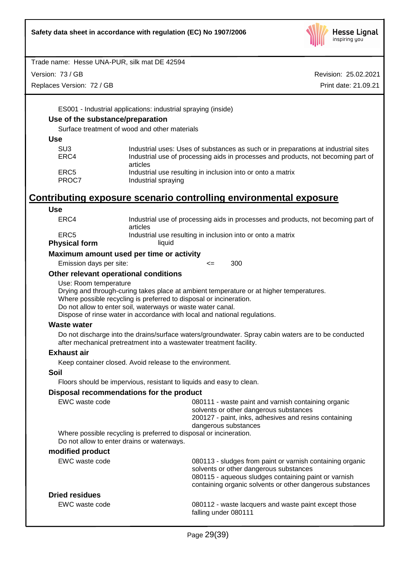

Version: 73 / GB

Replaces Version: 72 / GB

Revision: 25.02.2021 Print date: 21.09.21

ES001 - Industrial applications: industrial spraying (inside)

## **Use of the substance/preparation**

Surface treatment of wood and other materials

**Use**

| Industrial uses: Uses of substances as such or in preparations at industrial sites |
|------------------------------------------------------------------------------------|
| Industrial use of processing aids in processes and products, not becoming part of  |
| articles                                                                           |
| Industrial use resulting in inclusion into or onto a matrix                        |
| Industrial spraying                                                                |
|                                                                                    |

# **Contributing exposure scenario controlling environmental exposure**

| <b>Use</b>                                 |                                                                                                                                                                                                                                                                                                           |  |  |  |  |
|--------------------------------------------|-----------------------------------------------------------------------------------------------------------------------------------------------------------------------------------------------------------------------------------------------------------------------------------------------------------|--|--|--|--|
| ERC4                                       | Industrial use of processing aids in processes and products, not becoming part of<br>articles                                                                                                                                                                                                             |  |  |  |  |
| ERC <sub>5</sub>                           | Industrial use resulting in inclusion into or onto a matrix                                                                                                                                                                                                                                               |  |  |  |  |
| <b>Physical form</b>                       | liquid                                                                                                                                                                                                                                                                                                    |  |  |  |  |
| Maximum amount used per time or activity   |                                                                                                                                                                                                                                                                                                           |  |  |  |  |
| Emission days per site:                    | 300<br>$\leq$                                                                                                                                                                                                                                                                                             |  |  |  |  |
| Other relevant operational conditions      |                                                                                                                                                                                                                                                                                                           |  |  |  |  |
| Use: Room temperature                      | Drying and through-curing takes place at ambient temperature or at higher temperatures.<br>Where possible recycling is preferred to disposal or incineration.<br>Do not allow to enter soil, waterways or waste water canal.<br>Dispose of rinse water in accordance with local and national regulations. |  |  |  |  |
| <b>Waste water</b>                         |                                                                                                                                                                                                                                                                                                           |  |  |  |  |
|                                            | Do not discharge into the drains/surface waters/groundwater. Spray cabin waters are to be conducted<br>after mechanical pretreatment into a wastewater treatment facility.                                                                                                                                |  |  |  |  |
| <b>Exhaust air</b>                         |                                                                                                                                                                                                                                                                                                           |  |  |  |  |
|                                            | Keep container closed. Avoid release to the environment.                                                                                                                                                                                                                                                  |  |  |  |  |
| Soil                                       |                                                                                                                                                                                                                                                                                                           |  |  |  |  |
|                                            | Floors should be impervious, resistant to liquids and easy to clean.                                                                                                                                                                                                                                      |  |  |  |  |
|                                            | Disposal recommendations for the product                                                                                                                                                                                                                                                                  |  |  |  |  |
| EWC waste code                             | 080111 - waste paint and varnish containing organic<br>solvents or other dangerous substances<br>200127 - paint, inks, adhesives and resins containing<br>dangerous substances                                                                                                                            |  |  |  |  |
| Do not allow to enter drains or waterways. | Where possible recycling is preferred to disposal or incineration.                                                                                                                                                                                                                                        |  |  |  |  |
| modified product                           |                                                                                                                                                                                                                                                                                                           |  |  |  |  |
| EWC waste code                             | 080113 - sludges from paint or varnish containing organic<br>solvents or other dangerous substances<br>080115 - aqueous sludges containing paint or varnish<br>containing organic solvents or other dangerous substances                                                                                  |  |  |  |  |
| <b>Dried residues</b>                      |                                                                                                                                                                                                                                                                                                           |  |  |  |  |
| EWC waste code                             | 080112 - waste lacquers and waste paint except those<br>falling under 080111                                                                                                                                                                                                                              |  |  |  |  |
|                                            |                                                                                                                                                                                                                                                                                                           |  |  |  |  |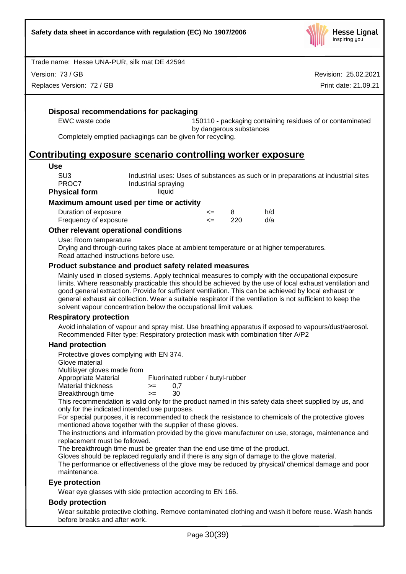

Version: 73 / GB

Replaces Version: 72 / GB

Revision: 25.02.2021 Print date: 21.09.21

## **Disposal recommendations for packaging**

EWC waste code 150110 - packaging containing residues of or contaminated by dangerous substances

Completely emptied packagings can be given for recycling.

## **Contributing exposure scenario controlling worker exposure**

#### **Use**

| PROC7                | Industrial spraying |
|----------------------|---------------------|
| <b>Physical form</b> | liquid              |

#### **Maximum amount used per time or activity**

| Duration of exposure  | <= |     | h/d |
|-----------------------|----|-----|-----|
| Frequency of exposure |    | 220 | d/a |

## **Other relevant operational conditions**

Use: Room temperature

Drying and through-curing takes place at ambient temperature or at higher temperatures. Read attached instructions before use.

## **Product substance and product safety related measures**

Mainly used in closed systems. Apply technical measures to comply with the occupational exposure limits. Where reasonably practicable this should be achieved by the use of local exhaust ventilation and good general extraction. Provide for sufficient ventilation. This can be achieved by local exhaust or general exhaust air collection. Wear a suitable respirator if the ventilation is not sufficient to keep the solvent vapour concentration below the occupational limit values.

#### **Respiratory protection**

Avoid inhalation of vapour and spray mist. Use breathing apparatus if exposed to vapours/dust/aerosol. Recommended Filter type: Respiratory protection mask with combination filter A/P2

## **Hand protection**

Protective gloves complying with EN 374.

Glove material

Multilayer gloves made from<br>Appropriate Material

Fluorinated rubber / butyl-rubber

- $M$ aterial thickness  $> = 0.7$
- Breakthrough time >= 30

This recommendation is valid only for the product named in this safety data sheet supplied by us, and only for the indicated intended use purposes.

For special purposes, it is recommended to check the resistance to chemicals of the protective gloves mentioned above together with the supplier of these gloves.

The instructions and information provided by the glove manufacturer on use, storage, maintenance and replacement must be followed.

The breakthrough time must be greater than the end use time of the product.

Gloves should be replaced regularly and if there is any sign of damage to the glove material.

The performance or effectiveness of the glove may be reduced by physical/ chemical damage and poor maintenance.

## **Eye protection**

Wear eye glasses with side protection according to EN 166.

## **Body protection**

Wear suitable protective clothing. Remove contaminated clothing and wash it before reuse. Wash hands before breaks and after work.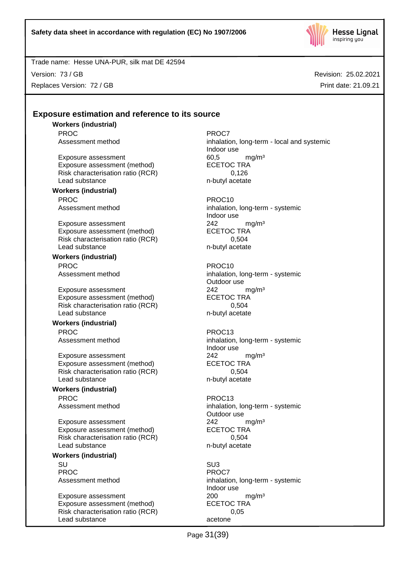

Version: 73 / GB Replaces Version: 72 / GB Revision: 25.02.2021 Print date: 21.09.21

## **Exposure estimation and reference to its source**

**Workers (industrial)** PROC PROCT PROCT PROCT

Exposure assessment 60,5 mg/m<sup>3</sup><br>Exposure assessment (method) ECETOC TRA Exposure assessment (method) Risk characterisation ratio (RCR) 0,126 Lead substance n-butyl acetate

#### **Workers (industrial)** PROC PROC10

Exposure assessment 242 mg/m<sup>3</sup> Exposure assessment (method) ECETOC TRA Risk characterisation ratio (RCR) 0,504 Lead substance n-butyl acetate

**Workers (industrial)** PROC PROC10

Exposure assessment <br>
Exposure assessment (method) 
ECETOC TRA Exposure assessment (method) Risk characterisation ratio (RCR) 0,504 Lead substance n-butyl acetate

## **Workers (industrial)**

PROC PROC13

Exposure assessment  $242$  mg/m<sup>3</sup><br>Exposure assessment (method) ECETOC TRA Exposure assessment (method) Risk characterisation ratio (RCR) 0,504 Lead substance n-butyl acetate

## **Workers (industrial)** PROC PROC13

Exposure assessment <br>
Exposure assessment (method) 
ECETOC TRA Exposure assessment (method) Risk characterisation ratio (RCR) 0,504 Lead substance n-butyl acetate

#### **Workers (industrial)**

SU SU3 PROC<sup>PROC</sup> PROCT

Exposure assessment <br>
Exposure assessment (method) 
<br>
ECETOC TRA Exposure assessment (method) Risk characterisation ratio (RCR) 0,05 Lead substance acetone

Assessment method inhalation, long-term - local and systemic Indoor use

Assessment method inhalation, long-term - systemic Indoor use

Assessment method inhalation, long-term - systemic Outdoor use

Assessment method inhalation, long-term - systemic Indoor use

Assessment method inhalation, long-term - systemic Outdoor use

Assessment method inhalation, long-term - systemic Indoor use

Page 31(39)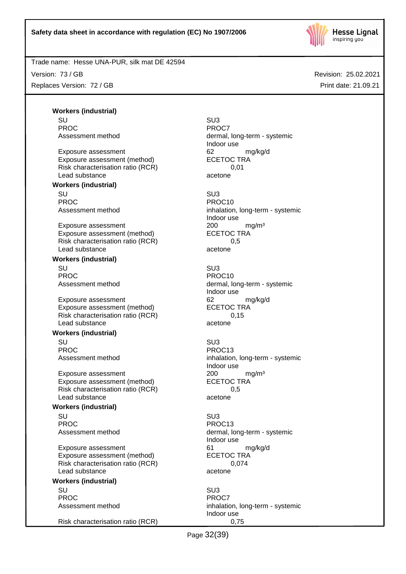

Version: 73 / GB Replaces Version: 72 / GB Revision: 25.02.2021 Print date: 21.09.21

**Workers (industrial)** SU SU3 PROC PROCT PROCT PROCT

Exposure assessment details are to the control of the exposure assessment (method) and the ECETOC TRA control of the exponent of the ECETOC TRA control of the exponent of the exponent of the exponent of the exponent of the Exposure assessment (method) Risk characterisation ratio (RCR) 0,01 Lead substance acetone

## **Workers (industrial)**

SU SU3 PROC PROCTER PROCTER PROCTER PROCTER PROCTER PROCTER PROCTER PROCTER PROCTER PROCTER PROCTER PROCTER PROCTER PROCTER PROCTER PROCTER PROCTER PROCTER PROCTER PROCTER PROCTER PROCTER PROCTER PROCTER PROCTER PROCTER PROCTER P

Exposure assessment 200 mg/m<sup>3</sup> Exposure assessment (method) ECETOC TRA Risk characterisation ratio (RCR) 0,5 Lead substance acetone

## **Workers (industrial)**

SU SU3 PROC PROC10

Exposure assessment 62 mg/kg/d Exposure assessment (method) ECETOC TRA Risk characterisation ratio (RCR) 0,15 Lead substance acetone

#### **Workers (industrial)**

SU SU3 PROC PROC13

Exposure assessment <br>
Exposure assessment (method) 
<br>
ECETOC TRA Exposure assessment (method) Risk characterisation ratio (RCR) 0,5 Lead substance acetone

#### **Workers (industrial)**

SU SU3 PROC PROCTER PROCTER PROCTER PROCTER PROCTER PROCTER PROCTER PROCTER PROCTER PROCTER PROCTER PROCTER PROCTER PROCTER PROCTER PROCTER PROCTER PROCTER PROCTER PROCTER PROCTER PROCTER PROCTER PROCTER PROCTER PROCTER PROCTER P

Exposure assessment details are to the control of the manufacture of the manufacture of the manufacture of the<br>
ECETOC TRA Exposure assessment (method) Risk characterisation ratio (RCR) 0,074 Lead substance acetone

## **Workers (industrial)**

SU SU3 PROC<sup>PROC</sup> PROCT

Risk characterisation ratio (RCR) 0,75

Assessment method dermal, long-term - systemic Indoor use

Assessment method inhalation, long-term - systemic Indoor use

Assessment method dermal, long-term - systemic Indoor use

Assessment method inhalation, long-term - systemic Indoor use

Assessment method dermal, long-term - systemic Indoor use

Assessment method inhalation, long-term - systemic Indoor use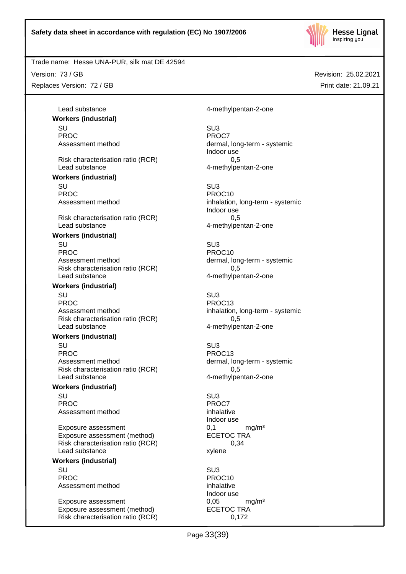

Trade name: Hesse UNA-PUR, silk mat DE 42594

Version: 73 / GB Replaces Version: 72 / GB Revision: 25.02.2021 Print date: 21.09.21

**Workers (industrial)** SU SU3 PROC<sup>PROC</sup> PROCT Risk characterisation ratio (RCR) 0,5 Lead substance and the contract of the 4-methylpentan-2-one **Workers (industrial)**

SU SU3 PROC<br>Assessment method<br>Assessment method<br>Assessment method

Risk characterisation ratio (RCR) 0,5 Lead substance and the 4-methylpentan-2-one

#### **Workers (industrial)**

SU SU3 PROC PROCTER PROCTER PROCTER PROCTER PROCTER PROCTER PROCTER PROCTER PROCTER PROCTER PROCTER PROCTER PROCTER PROCTER PROCTER PROCTER PROCTER PROCTER PROCTER PROCTER PROCTER PROCTER PROCTER PROCTER PROCTER PROCTER PROCTER P Assessment method dermal, long-term - systemic Risk characterisation ratio (RCR) 0,5 Lead substance example and the 4-methylpentan-2-one

#### **Workers (industrial)**

SU SU3 PROC PROC13 Assessment method inhalation, long-term - systemic Risk characterisation ratio (RCR) 0,5 Lead substance and the 4-methylpentan-2-one

## **Workers (industrial)**

SU SU3 PROC PROC13 Assessment method dermal, long-term - systemic Risk characterisation ratio (RCR) 0,5 Lead substance and the 4-methylpentan-2-one

#### **Workers (industrial)**

SU SU3 PROC<sup>P</sup> PROCT PROCT Assessment method inhalative

Exposure assessment 0,1 mg/m<sup>3</sup> Exposure assessment (method) ECETOC TRA Risk characterisation ratio (RCR) 0,34 Lead substance xylene

## **Workers (industrial)**

SU SU3 PROC PROCTER PROCTER PROCTER PROCTER PROCTER PROCTER PROCTER PROCTER PROCTER PROCTER PROCTER PROCTER PROCTER PROCTER PROCTER PROCTER PROCTER PROCTER PROCTER PROCTER PROCTER PROCTER PROCTER PROCTER PROCTER PROCTER PROCTER P Assessment method inhalative

Exposure assessment 0,05 mg/m<sup>3</sup> Exposure assessment (method) ECETOC TRA Risk characterisation ratio (RCR) 0,172

Lead substance and the 4-methylpentan-2-one

Assessment method dermal, long-term - systemic Indoor use

> inhalation, long-term - systemic Indoor use

Indoor use

Indoor use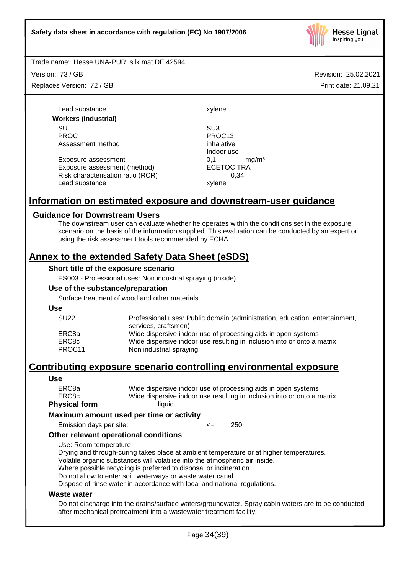

Version: 73 / GB Replaces Version: 72 / GB

Lead substance xylene **Workers (industrial)** SU SU3 PROC PROC13 Assessment method inhalative

Exposure assessment <br>
Exposure assessment (method) 
ECETOC TRA Exposure assessment (method) Risk characterisation ratio (RCR) 0,34 Lead substance xylene

Indoor use

## **Information on estimated exposure and downstream-user guidance**

## **Guidance for Downstream Users**

The downstream user can evaluate whether he operates within the conditions set in the exposure scenario on the basis of the information supplied. This evaluation can be conducted by an expert or using the risk assessment tools recommended by ECHA.

## **Annex to the extended Safety Data Sheet (eSDS)**

#### **Short title of the exposure scenario**

ES003 - Professional uses: Non industrial spraying (inside)

#### **Use of the substance/preparation**

Surface treatment of wood and other materials

**Use**

| <b>SU22</b> | Professional uses: Public domain (administration, education, entertainment, |
|-------------|-----------------------------------------------------------------------------|
|             | services, craftsmen)                                                        |
| ERC8a       | Wide dispersive indoor use of processing aids in open systems               |
| ERC8c       | Wide dispersive indoor use resulting in inclusion into or onto a matrix     |
| PROC11      | Non industrial spraying                                                     |

## **Contributing exposure scenario controlling environmental exposure**

#### **Use**

| ERC8c                | Wide dispersive indoor use resulting in inclusion into or onto a matrix |
|----------------------|-------------------------------------------------------------------------|
| <b>Physical form</b> | liauid                                                                  |

#### **Maximum amount used per time or activity**

Emission days per site: <= 250

#### **Other relevant operational conditions**

Use: Room temperature

Drying and through-curing takes place at ambient temperature or at higher temperatures. Volatile organic substances will volatilise into the atmospheric air inside.

Where possible recycling is preferred to disposal or incineration.

Do not allow to enter soil, waterways or waste water canal.

Dispose of rinse water in accordance with local and national regulations.

#### **Waste water**

Do not discharge into the drains/surface waters/groundwater. Spray cabin waters are to be conducted after mechanical pretreatment into a wastewater treatment facility.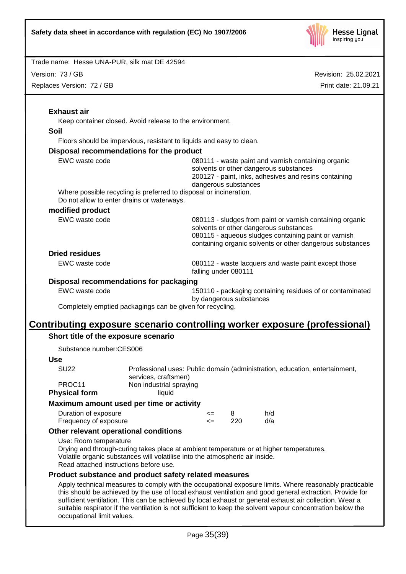

Version: 73 / GB

Replaces Version: 72 / GB

Revision: 25.02.2021 Print date: 21.09.21

|                                               | Keep container closed. Avoid release to the environment.                                                                                                                                                          |                                                                                                                                                                                |                         |                                                                                                                                                                                                                          |  |  |
|-----------------------------------------------|-------------------------------------------------------------------------------------------------------------------------------------------------------------------------------------------------------------------|--------------------------------------------------------------------------------------------------------------------------------------------------------------------------------|-------------------------|--------------------------------------------------------------------------------------------------------------------------------------------------------------------------------------------------------------------------|--|--|
| <b>Soil</b>                                   |                                                                                                                                                                                                                   |                                                                                                                                                                                |                         |                                                                                                                                                                                                                          |  |  |
|                                               | Floors should be impervious, resistant to liquids and easy to clean.                                                                                                                                              |                                                                                                                                                                                |                         |                                                                                                                                                                                                                          |  |  |
|                                               | Disposal recommendations for the product                                                                                                                                                                          |                                                                                                                                                                                |                         |                                                                                                                                                                                                                          |  |  |
| EWC waste code                                |                                                                                                                                                                                                                   | 080111 - waste paint and varnish containing organic<br>solvents or other dangerous substances<br>200127 - paint, inks, adhesives and resins containing<br>dangerous substances |                         |                                                                                                                                                                                                                          |  |  |
|                                               | Where possible recycling is preferred to disposal or incineration.<br>Do not allow to enter drains or waterways.                                                                                                  |                                                                                                                                                                                |                         |                                                                                                                                                                                                                          |  |  |
| modified product                              |                                                                                                                                                                                                                   |                                                                                                                                                                                |                         |                                                                                                                                                                                                                          |  |  |
| EWC waste code                                |                                                                                                                                                                                                                   |                                                                                                                                                                                |                         | 080113 - sludges from paint or varnish containing organic<br>solvents or other dangerous substances<br>080115 - aqueous sludges containing paint or varnish<br>containing organic solvents or other dangerous substances |  |  |
| <b>Dried residues</b>                         |                                                                                                                                                                                                                   |                                                                                                                                                                                |                         |                                                                                                                                                                                                                          |  |  |
| EWC waste code                                |                                                                                                                                                                                                                   |                                                                                                                                                                                | falling under 080111    | 080112 - waste lacquers and waste paint except those                                                                                                                                                                     |  |  |
|                                               | Disposal recommendations for packaging                                                                                                                                                                            |                                                                                                                                                                                |                         |                                                                                                                                                                                                                          |  |  |
| EWC waste code                                |                                                                                                                                                                                                                   |                                                                                                                                                                                | by dangerous substances | 150110 - packaging containing residues of or contaminated                                                                                                                                                                |  |  |
|                                               | Completely emptied packagings can be given for recycling.                                                                                                                                                         |                                                                                                                                                                                |                         |                                                                                                                                                                                                                          |  |  |
|                                               | <u>Contributing exposure scenario controlling worker exposure (professional)</u>                                                                                                                                  |                                                                                                                                                                                |                         |                                                                                                                                                                                                                          |  |  |
| Short title of the exposure scenario          |                                                                                                                                                                                                                   |                                                                                                                                                                                |                         |                                                                                                                                                                                                                          |  |  |
| Substance number:CES006                       |                                                                                                                                                                                                                   |                                                                                                                                                                                |                         |                                                                                                                                                                                                                          |  |  |
| <b>Use</b>                                    |                                                                                                                                                                                                                   |                                                                                                                                                                                |                         |                                                                                                                                                                                                                          |  |  |
| <b>SU22</b>                                   | Professional uses: Public domain (administration, education, entertainment,<br>services, craftsmen)                                                                                                               |                                                                                                                                                                                |                         |                                                                                                                                                                                                                          |  |  |
| PROC11<br><b>Physical form</b>                | Non industrial spraying<br>liquid                                                                                                                                                                                 |                                                                                                                                                                                |                         |                                                                                                                                                                                                                          |  |  |
|                                               | Maximum amount used per time or activity                                                                                                                                                                          |                                                                                                                                                                                |                         |                                                                                                                                                                                                                          |  |  |
| Duration of exposure<br>Frequency of exposure |                                                                                                                                                                                                                   | <=<br>$\leq$                                                                                                                                                                   | 8<br>220                | h/d<br>d/a                                                                                                                                                                                                               |  |  |
|                                               | Other relevant operational conditions                                                                                                                                                                             |                                                                                                                                                                                |                         |                                                                                                                                                                                                                          |  |  |
| Use: Room temperature                         | Drying and through-curing takes place at ambient temperature or at higher temperatures.<br>Volatile organic substances will volatilise into the atmospheric air inside.<br>Read attached instructions before use. |                                                                                                                                                                                |                         |                                                                                                                                                                                                                          |  |  |

occupational limit values.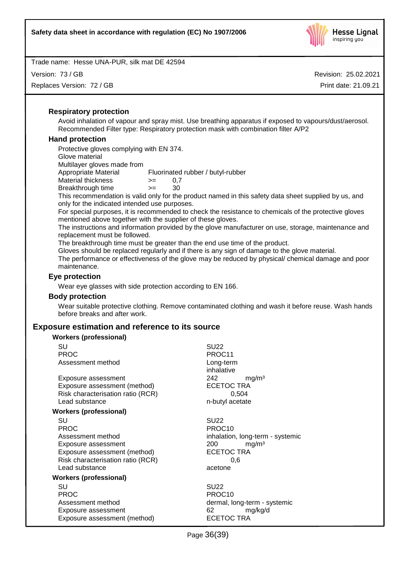

Version: 73 / GB

Replaces Version: 72 / GB

Revision: 25.02.2021 Print date: 21.09.21

## **Respiratory protection**

Avoid inhalation of vapour and spray mist. Use breathing apparatus if exposed to vapours/dust/aerosol. Recommended Filter type: Respiratory protection mask with combination filter A/P2

## **Hand protection**

Protective gloves complying with EN 374. Glove material Multilayer gloves made from Appropriate Material Fluorinated rubber / butyl-rubber Material thickness  $> = 0.7$ Breakthrough time >= 30

This recommendation is valid only for the product named in this safety data sheet supplied by us, and only for the indicated intended use purposes.

For special purposes, it is recommended to check the resistance to chemicals of the protective gloves mentioned above together with the supplier of these gloves.

The instructions and information provided by the glove manufacturer on use, storage, maintenance and replacement must be followed.

The breakthrough time must be greater than the end use time of the product.

Gloves should be replaced regularly and if there is any sign of damage to the glove material.

The performance or effectiveness of the glove may be reduced by physical/ chemical damage and poor maintenance.

## **Eye protection**

Wear eye glasses with side protection according to EN 166.

#### **Body protection**

Wear suitable protective clothing. Remove contaminated clothing and wash it before reuse. Wash hands before breaks and after work.

## **Exposure estimation and reference to its source**

| <b>Workers (professional)</b>     |                                  |
|-----------------------------------|----------------------------------|
| SU                                | <b>SU22</b>                      |
| <b>PROC</b>                       | PROC11                           |
| Assessment method                 | Long-term                        |
|                                   | inhalative                       |
| Exposure assessment               | 242<br>mg/m <sup>3</sup>         |
| Exposure assessment (method)      | <b>ECETOC TRA</b>                |
| Risk characterisation ratio (RCR) | 0,504                            |
| Lead substance                    | n-butyl acetate                  |
| <b>Workers (professional)</b>     |                                  |
| SU                                | <b>SU22</b>                      |
| <b>PROC</b>                       | PROC <sub>10</sub>               |
| Assessment method                 | inhalation, long-term - systemic |
| Exposure assessment               | mg/m <sup>3</sup><br>200         |
| Exposure assessment (method)      | <b>ECETOC TRA</b>                |
| Risk characterisation ratio (RCR) | 0.6                              |
| Lead substance                    | acetone                          |
| Workers (professional)            |                                  |
| SU                                | <b>SU22</b>                      |
| <b>PROC</b>                       | PROC <sub>10</sub>               |
| Assessment method                 | dermal, long-term - systemic     |
| Exposure assessment               | 62<br>mg/kg/d                    |
| Exposure assessment (method)      | ECETOC TRA                       |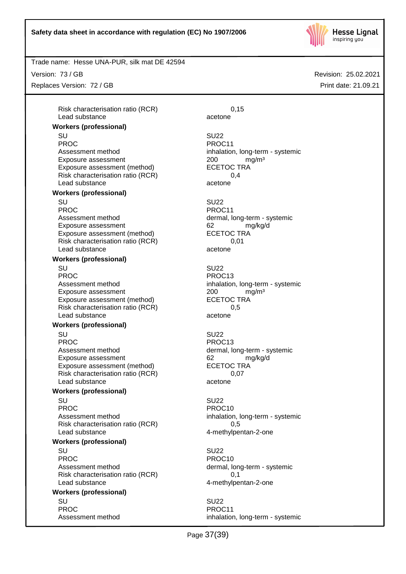

Trade name: Hesse UNA-PUR, silk mat DE 42594

Version: 73 / GB

Replaces Version: 72 / GB

Risk characterisation ratio (RCR) 6,15 Lead substance acetone

## **Workers (professional)**

SU SU22 PROC PROCTER PROCTER PROCTER PROCTER PROCTER PROCTER PROCTER PROCTER PROCTER PROCTER PROCTER PROCTER PROCTER PROCTER PROCTER PROCTER PROCTER PROCTER PROCTER PROCTER PROCTER PROCTER PROCTER PROCTER PROCTER PROCTER PROCTER P Assessment method<br>Exposure assessment<br>
Exposure assessment<br>  $200$  mg/m<sup>3</sup> Exposure assessment <br>
Exposure assessment (method) 
<br>
ECETOC TRA Exposure assessment (method) Risk characterisation ratio (RCR) 0,4 Lead substance acetone

#### **Workers (professional)**

SU SU22 PROC PROCTER PROCTER PROCTER PROCTER PROCTER PROCTER PROCTER PROCTER PROCTER PROCTER PROCTER PROCTER PROCTER PROCTER PROCTER PROCTER PROCTER PROCTER PROCTER PROCTER PROCTER PROCTER PROCTER PROCTER PROCTER PROCTER PROCTER P Assessment method dermal, long-term - systemic Exposure assessment and the control of the control of the manuform of the manuform of the control of the manufo<br>
ECETOC TRA Exposure assessment (method) Risk characterisation ratio (RCR) 0,01 Lead substance acetone

## **Workers (professional)**

SU SU22 PROC PROC13 Assessment method inhalation, long-term - systemic Exposure assessment <br>
Exposure assessment (method) 
<br>
ECETOC TRA Exposure assessment (method) Risk characterisation ratio (RCR) 0,5 Lead substance acetone

#### **Workers (professional)**

SU SU22

Assessment method dermal, long-term - systemic Exposure assessment and the control of the control of the manufacture of the manufacture of the form of the co<br>
ECETOC TRA Exposure assessment (method) Risk characterisation ratio (RCR) 0,07 Lead substance acetone

## **Workers (professional)**

SU SU22 PROC PROC10 Assessment method inhalation, long-term - systemic Risk characterisation ratio (RCR) 6.5 Lead substance and the 4-methylpentan-2-one

#### **Workers (professional)**

SU SU22 PROC PROCTER PROCTER PROCTER PROCTER PROCTER PROCTER PROCTER PROCTER PROCTER PROCTER PROCTER PROCTER PROCTER PROCTER PROCTER PROCTER PROCTER PROCTER PROCTER PROCTER PROCTER PROCTER PROCTER PROCTER PROCTER PROCTER PROCTER P Assessment method dermal, long-term - systemic Risk characterisation ratio (RCR) 0,1 Lead substance and the 4-methylpentan-2-one

#### **Workers (professional)** SU SU22

PROC PROCTER PROCTER PROCTER PROCTER PROCTER PROCTER PROCTER PROCTER PROCTER PROCTER PROCTER PROCTER PROCTER PROCTER PROCTER PROCTER PROCTER PROCTER PROCTER PROCTER PROCTER PROCTER PROCTER PROCTER PROCTER PROCTER PROCTER P

PROC PROC13

Assessment method inhalation, long-term - systemic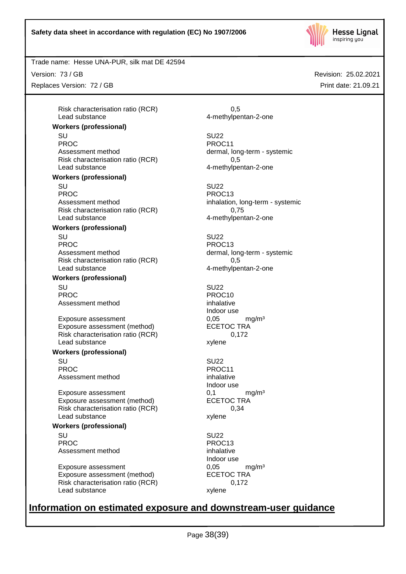

Trade name: Hesse UNA-PUR, silk mat DE 42594

Version: 73 / GB

Replaces Version: 72 / GB

Risk characterisation ratio (RCR) 6.5 Lead substance 4-methylpentan-2-one

## **Workers (professional)**

SU SU22 PROC PROC11 Assessment method dermal, long-term - systemic Risk characterisation ratio (RCR) 0,5 Lead substance example and the 4-methylpentan-2-one

#### **Workers (professional)**

SU SU22 PROC PROC13 Assessment method inhalation, long-term - systemic Risk characterisation ratio (RCR) 0,75 Lead substance and the 4-methylpentan-2-one

## **Workers (professional)**

SU SU22 PROC PROC13 Assessment method dermal, long-term - systemic Risk characterisation ratio (RCR) 0,5 Lead substance and the 4-methylpentan-2-one

## **Workers (professional)**

SU SU22 PROC PROCTES PROCTES Assessment method inhalative

Exposure assessment 
and the exposure assessment (method) 
and the exposure assessment (method) 
and the exposure assessment (method) 
and the exposure assessment (method) 
and the exposure assessment (method) 
and the exp Exposure assessment (method) Risk characterisation ratio (RCR) 0,172 Lead substance xylene

#### **Workers (professional)**

SU SU22 PROC PROCTER PROC11 Assessment method inhalative

Exposure assessment  $0,1$  mg/m<sup>3</sup><br>Exposure assessment (method) ECETOC TRA Exposure assessment (method) Risk characterisation ratio (RCR) 0,34 Lead substance xylene

#### **Workers (professional)**

SU SU22 PROC PROC13 Assessment method inhalative

Exposure assessment  $0,05$  mg/m<sup>3</sup><br>Exposure assessment (method) ECETOC TRA Exposure assessment (method) Risk characterisation ratio (RCR) 0,172 Lead substance xylene

Indoor use

Indoor use

Indoor use

# **Information on estimated exposure and downstream-user guidance**